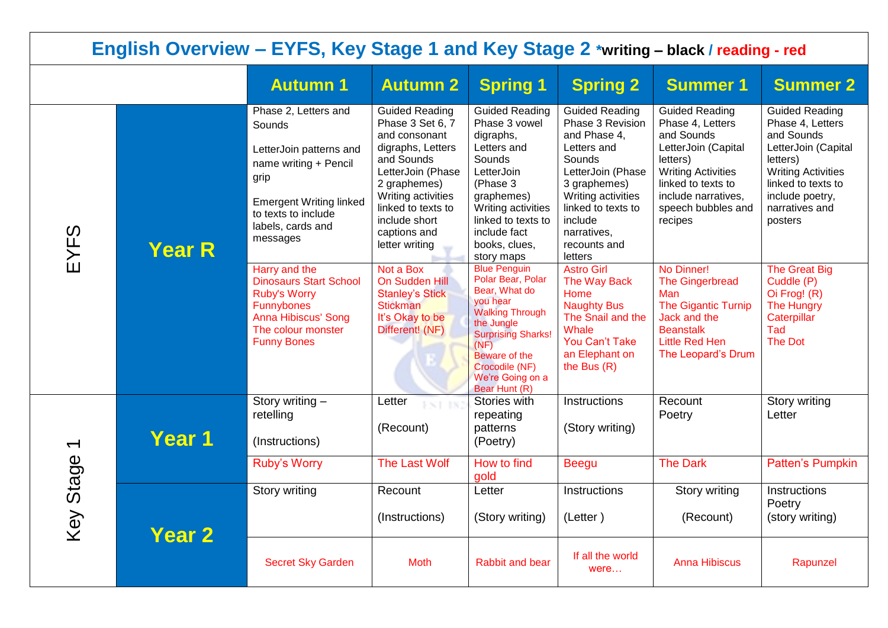| English Overview - EYFS, Key Stage 1 and Key Stage 2 *writing - black / reading - red |               |                                                                                                                                                                                      |                                                                                                                                                                                                                                   |                                                                                                                                                                                                                            |                                                                                                                                                                                                                          |                                                                                                                                                                                                       |                                                                                                                                                                                               |
|---------------------------------------------------------------------------------------|---------------|--------------------------------------------------------------------------------------------------------------------------------------------------------------------------------------|-----------------------------------------------------------------------------------------------------------------------------------------------------------------------------------------------------------------------------------|----------------------------------------------------------------------------------------------------------------------------------------------------------------------------------------------------------------------------|--------------------------------------------------------------------------------------------------------------------------------------------------------------------------------------------------------------------------|-------------------------------------------------------------------------------------------------------------------------------------------------------------------------------------------------------|-----------------------------------------------------------------------------------------------------------------------------------------------------------------------------------------------|
|                                                                                       |               | <b>Autumn 1</b>                                                                                                                                                                      | <b>Autumn 2</b>                                                                                                                                                                                                                   | <b>Spring 1</b>                                                                                                                                                                                                            | <b>Spring 2</b>                                                                                                                                                                                                          | <b>Summer 1</b>                                                                                                                                                                                       | <b>Summer 2</b>                                                                                                                                                                               |
| EYFS                                                                                  | <b>Year R</b> | Phase 2, Letters and<br>Sounds<br>LetterJoin patterns and<br>name writing + Pencil<br>grip<br><b>Emergent Writing linked</b><br>to texts to include<br>labels, cards and<br>messages | <b>Guided Reading</b><br>Phase 3 Set 6, 7<br>and consonant<br>digraphs, Letters<br>and Sounds<br>LetterJoin (Phase<br>2 graphemes)<br>Writing activities<br>linked to texts to<br>include short<br>captions and<br>letter writing | <b>Guided Reading</b><br>Phase 3 vowel<br>digraphs,<br>Letters and<br>Sounds<br>LetterJoin<br>(Phase 3<br>graphemes)<br>Writing activities<br>linked to texts to<br>include fact<br>books, clues,<br>story maps            | <b>Guided Reading</b><br>Phase 3 Revision<br>and Phase 4,<br>Letters and<br>Sounds<br>LetterJoin (Phase<br>3 graphemes)<br>Writing activities<br>linked to texts to<br>include<br>narratives,<br>recounts and<br>letters | <b>Guided Reading</b><br>Phase 4, Letters<br>and Sounds<br>LetterJoin (Capital<br>letters)<br><b>Writing Activities</b><br>linked to texts to<br>include narratives,<br>speech bubbles and<br>recipes | <b>Guided Reading</b><br>Phase 4, Letters<br>and Sounds<br>LetterJoin (Capital<br>letters)<br><b>Writing Activities</b><br>linked to texts to<br>include poetry,<br>narratives and<br>posters |
|                                                                                       |               | Harry and the<br><b>Dinosaurs Start School</b><br><b>Ruby's Worry</b><br>Funnybones<br><b>Anna Hibiscus' Song</b><br>The colour monster<br><b>Funny Bones</b>                        | Not a Box<br>On Sudden Hill<br><b>Stanley's Stick</b><br><b>Stickman</b><br>It's Okay to be<br>Different! (NF)                                                                                                                    | <b>Blue Penguin</b><br>Polar Bear, Polar<br>Bear, What do<br>you hear<br><b>Walking Through</b><br>the Jungle<br><b>Surprising Sharks!</b><br>(NF)<br>Beware of the<br>Crocodile (NF)<br>We're Going on a<br>Bear Hunt (R) | <b>Astro Girl</b><br>The Way Back<br>Home<br><b>Naughty Bus</b><br>The Snail and the<br>Whale<br><b>You Can't Take</b><br>an Elephant on<br>the Bus $(R)$                                                                | No Dinner!<br><b>The Gingerbread</b><br>Man<br>The Gigantic Turnip<br>Jack and the<br><b>Beanstalk</b><br>Little Red Hen<br>The Leopard's Drum                                                        | <b>The Great Big</b><br>Cuddle (P)<br>Oi Frog! (R)<br><b>The Hungry</b><br>Caterpillar<br>Tad<br>The Dot                                                                                      |
| $\overline{\phantom{0}}$                                                              | Year 1        | Story writing -<br>retelling<br>(Instructions)                                                                                                                                       | Letter<br>(Recount)                                                                                                                                                                                                               | Stories with<br>repeating<br>patterns<br>(Poetry)                                                                                                                                                                          | Instructions<br>(Story writing)                                                                                                                                                                                          | Recount<br>Poetry                                                                                                                                                                                     | Story writing<br>Letter                                                                                                                                                                       |
| Stage                                                                                 |               | <b>Ruby's Worry</b>                                                                                                                                                                  | <b>The Last Wolf</b>                                                                                                                                                                                                              | How to find<br>gold                                                                                                                                                                                                        | <b>Beegu</b>                                                                                                                                                                                                             | <b>The Dark</b>                                                                                                                                                                                       | Patten's Pumpkin                                                                                                                                                                              |
| Key                                                                                   | <b>Year 2</b> | Story writing                                                                                                                                                                        | Recount<br>(Instructions)                                                                                                                                                                                                         | Letter<br>(Story writing)                                                                                                                                                                                                  | Instructions<br>(Letter)                                                                                                                                                                                                 | Story writing<br>(Recount)                                                                                                                                                                            | Instructions<br>Poetry<br>(story writing)                                                                                                                                                     |
|                                                                                       |               | <b>Secret Sky Garden</b>                                                                                                                                                             | Moth                                                                                                                                                                                                                              | Rabbit and bear                                                                                                                                                                                                            | If all the world<br>were                                                                                                                                                                                                 | <b>Anna Hibiscus</b>                                                                                                                                                                                  | Rapunzel                                                                                                                                                                                      |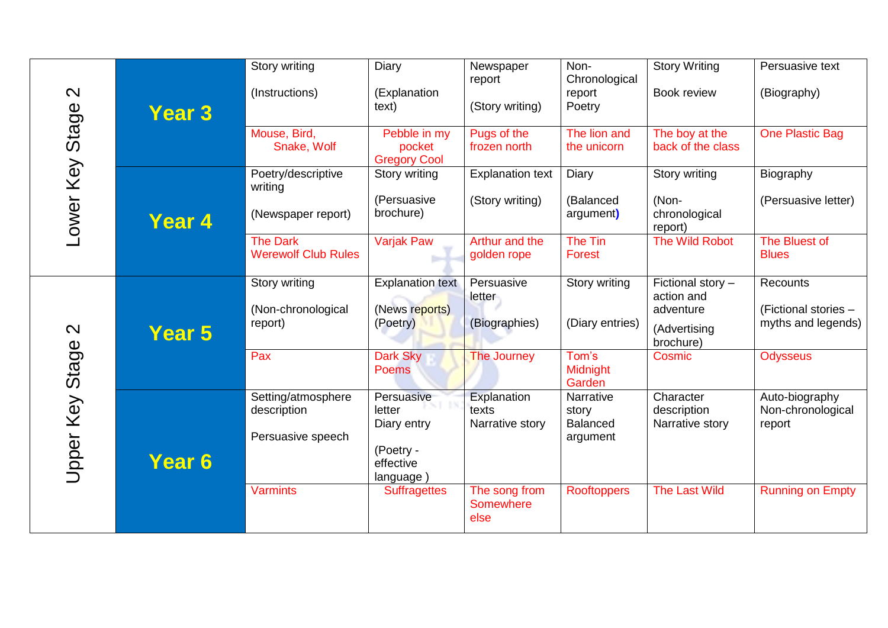|                   |                   | Story writing                                 | Diary                                         | Newspaper                               | Non-                                  | <b>Story Writing</b>                        | Persuasive text                               |
|-------------------|-------------------|-----------------------------------------------|-----------------------------------------------|-----------------------------------------|---------------------------------------|---------------------------------------------|-----------------------------------------------|
| $\mathbf{\Omega}$ | Year <sub>3</sub> | (Instructions)                                | (Explanation<br>text)                         | report<br>(Story writing)               | Chronological<br>report<br>Poetry     | Book review                                 | (Biography)                                   |
| -ower Key Stage   |                   | Mouse, Bird,<br>Snake, Wolf                   | Pebble in my<br>pocket<br><b>Gregory Cool</b> | Pugs of the<br>frozen north             | The lion and<br>the unicorn           | The boy at the<br>back of the class         | <b>One Plastic Bag</b>                        |
|                   |                   | Poetry/descriptive<br>writing                 | Story writing                                 | <b>Explanation text</b>                 | Diary                                 | Story writing                               | Biography                                     |
|                   | Year 4            | (Newspaper report)                            | (Persuasive<br>brochure)                      | (Story writing)                         | (Balanced<br>argument)                | (Non-<br>chronological<br>report)           | (Persuasive letter)                           |
|                   |                   | <b>The Dark</b><br><b>Werewolf Club Rules</b> | <b>Varjak Paw</b>                             | Arthur and the<br>golden rope           | The Tin<br>Forest                     | The Wild Robot                              | The Bluest of<br><b>Blues</b>                 |
|                   | Year 5            | Story writing                                 | <b>Explanation text</b>                       | Persuasive<br>letter                    | Story writing                         | Fictional story -<br>action and             | Recounts                                      |
| $\mathbf{\Omega}$ |                   | (Non-chronological<br>report)                 | (News reports)<br>(Poetry)                    | (Biographies)                           | (Diary entries)                       | adventure<br>(Advertising<br>brochure)      | (Fictional stories -<br>myths and legends)    |
|                   |                   | Pax                                           | Dark Sky<br>Poems                             | The Journey                             | Tom's<br>Midnight<br>Garden           | Cosmic                                      | <b>Odysseus</b>                               |
|                   |                   | Setting/atmosphere<br>description             | Persuasive<br>letter<br>Diary entry           | Explanation<br>texts<br>Narrative story | Narrative<br>story<br><b>Balanced</b> | Character<br>description<br>Narrative story | Auto-biography<br>Non-chronological<br>report |
| Jpper Key Stage   | Year 6            | Persuasive speech                             | (Poetry -<br>effective<br>language)           |                                         | argument                              |                                             |                                               |
|                   |                   | <b>Varmints</b>                               | <b>Suffragettes</b>                           | The song from<br>Somewhere<br>else      | Rooftoppers                           | <b>The Last Wild</b>                        | <b>Running on Empty</b>                       |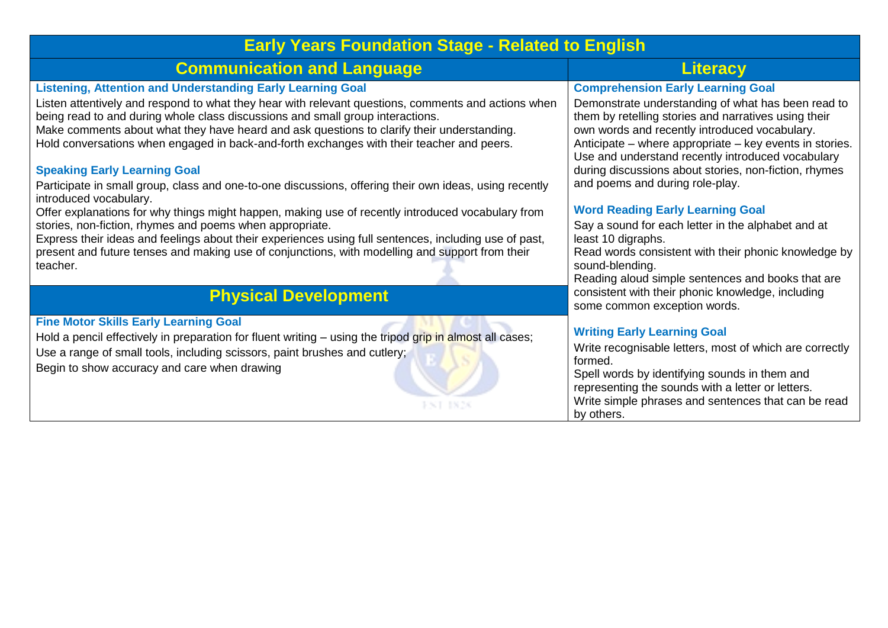| <b>Early Years Foundation Stage - Related to English</b>                                                                                                                                                                                                                                                                                                                                                                                                                                                                                                                                                                                                                                                                                                                                                                                                                                                                                                                                                                  |                                                                                                                                                                                                                                                                                                                                                                                                                                                                                                                                                                                                                                                                            |  |  |  |  |  |  |
|---------------------------------------------------------------------------------------------------------------------------------------------------------------------------------------------------------------------------------------------------------------------------------------------------------------------------------------------------------------------------------------------------------------------------------------------------------------------------------------------------------------------------------------------------------------------------------------------------------------------------------------------------------------------------------------------------------------------------------------------------------------------------------------------------------------------------------------------------------------------------------------------------------------------------------------------------------------------------------------------------------------------------|----------------------------------------------------------------------------------------------------------------------------------------------------------------------------------------------------------------------------------------------------------------------------------------------------------------------------------------------------------------------------------------------------------------------------------------------------------------------------------------------------------------------------------------------------------------------------------------------------------------------------------------------------------------------------|--|--|--|--|--|--|
| <b>Communication and Language</b>                                                                                                                                                                                                                                                                                                                                                                                                                                                                                                                                                                                                                                                                                                                                                                                                                                                                                                                                                                                         | <b>Literacy</b>                                                                                                                                                                                                                                                                                                                                                                                                                                                                                                                                                                                                                                                            |  |  |  |  |  |  |
| <b>Listening, Attention and Understanding Early Learning Goal</b><br>Listen attentively and respond to what they hear with relevant questions, comments and actions when<br>being read to and during whole class discussions and small group interactions.<br>Make comments about what they have heard and ask questions to clarify their understanding.<br>Hold conversations when engaged in back-and-forth exchanges with their teacher and peers.<br><b>Speaking Early Learning Goal</b><br>Participate in small group, class and one-to-one discussions, offering their own ideas, using recently<br>introduced vocabulary.<br>Offer explanations for why things might happen, making use of recently introduced vocabulary from<br>stories, non-fiction, rhymes and poems when appropriate.<br>Express their ideas and feelings about their experiences using full sentences, including use of past,<br>present and future tenses and making use of conjunctions, with modelling and support from their<br>teacher. | <b>Comprehension Early Learning Goal</b><br>Demonstrate understanding of what has been read to<br>them by retelling stories and narratives using their<br>own words and recently introduced vocabulary.<br>Anticipate – where appropriate – key events in stories.<br>Use and understand recently introduced vocabulary<br>during discussions about stories, non-fiction, rhymes<br>and poems and during role-play.<br><b>Word Reading Early Learning Goal</b><br>Say a sound for each letter in the alphabet and at<br>least 10 digraphs.<br>Read words consistent with their phonic knowledge by<br>sound-blending.<br>Reading aloud simple sentences and books that are |  |  |  |  |  |  |
| <b>Physical Development</b>                                                                                                                                                                                                                                                                                                                                                                                                                                                                                                                                                                                                                                                                                                                                                                                                                                                                                                                                                                                               | consistent with their phonic knowledge, including<br>some common exception words.                                                                                                                                                                                                                                                                                                                                                                                                                                                                                                                                                                                          |  |  |  |  |  |  |
| <b>Fine Motor Skills Early Learning Goal</b><br>Hold a pencil effectively in preparation for fluent writing - using the tripod grip in almost all cases;<br>Use a range of small tools, including scissors, paint brushes and cutlery;<br>Begin to show accuracy and care when drawing                                                                                                                                                                                                                                                                                                                                                                                                                                                                                                                                                                                                                                                                                                                                    | <b>Writing Early Learning Goal</b><br>Write recognisable letters, most of which are correctly<br>formed.<br>Spell words by identifying sounds in them and<br>representing the sounds with a letter or letters.<br>Write simple phrases and sentences that can be read<br>by others.                                                                                                                                                                                                                                                                                                                                                                                        |  |  |  |  |  |  |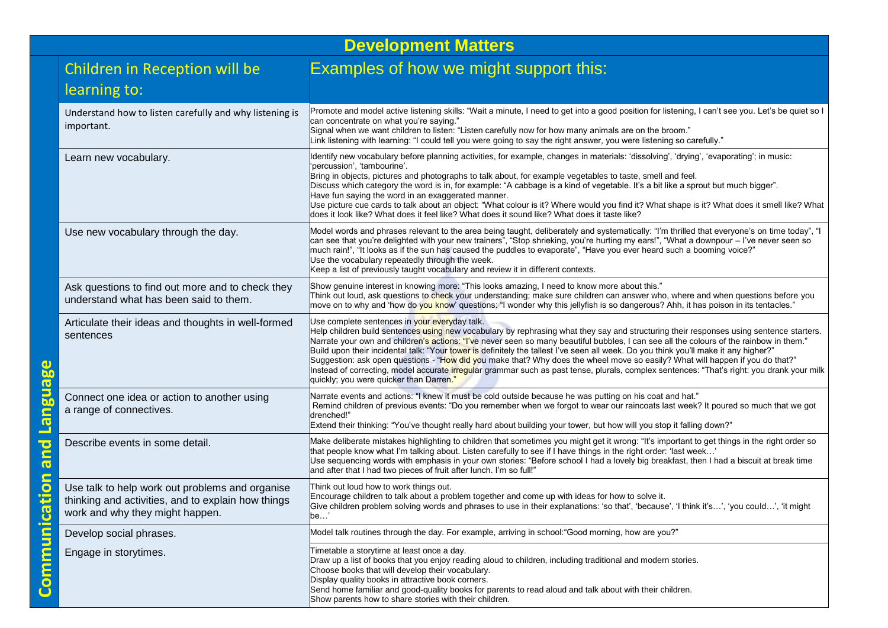|                           | <b>Development Matters</b>                                                                                                               |                                                                                                                                                                                                                                                                                                                                                                                                                                                                                                                                                                                                                                                                                                                                                                                                                     |  |  |  |  |
|---------------------------|------------------------------------------------------------------------------------------------------------------------------------------|---------------------------------------------------------------------------------------------------------------------------------------------------------------------------------------------------------------------------------------------------------------------------------------------------------------------------------------------------------------------------------------------------------------------------------------------------------------------------------------------------------------------------------------------------------------------------------------------------------------------------------------------------------------------------------------------------------------------------------------------------------------------------------------------------------------------|--|--|--|--|
|                           | Children in Reception will be<br>learning to:                                                                                            | Examples of how we might support this:                                                                                                                                                                                                                                                                                                                                                                                                                                                                                                                                                                                                                                                                                                                                                                              |  |  |  |  |
|                           | Understand how to listen carefully and why listening is<br>important.                                                                    | Promote and model active listening skills: "Wait a minute, I need to get into a good position for listening, I can't see you. Let's be quiet so I<br>can concentrate on what you're saying."<br>Signal when we want children to listen: "Listen carefully now for how many animals are on the broom."<br>Link listening with learning: "I could tell you were going to say the right answer, you were listening so carefully."                                                                                                                                                                                                                                                                                                                                                                                      |  |  |  |  |
|                           | Learn new vocabulary.                                                                                                                    | Identify new vocabulary before planning activities, for example, changes in materials: 'dissolving', 'drying', 'evaporating'; in music:<br>'percussion', 'tambourine'.<br>Bring in objects, pictures and photographs to talk about, for example vegetables to taste, smell and feel.<br>Discuss which category the word is in, for example: "A cabbage is a kind of vegetable. It's a bit like a sprout but much bigger".<br>Have fun saying the word in an exaggerated manner.<br>Use picture cue cards to talk about an object: "What colour is it? Where would you find it? What shape is it? What does it smell like? What<br>does it look like? What does it feel like? What does it sound like? What does it taste like?                                                                                      |  |  |  |  |
|                           | Use new vocabulary through the day.                                                                                                      | Model words and phrases relevant to the area being taught, deliberately and systematically: "I'm thrilled that everyone's on time today", "I<br>can see that you're delighted with your new trainers", "Stop shrieking, you're hurting my ears!", "What a downpour - I've never seen so<br>much rain!", "It looks as if the sun has caused the puddles to evaporate", "Have you ever heard such a booming voice?"<br>Use the vocabulary repeatedly through the week.<br>Keep a list of previously taught vocabulary and review it in different contexts.                                                                                                                                                                                                                                                            |  |  |  |  |
|                           | Ask questions to find out more and to check they<br>understand what has been said to them.                                               | Show genuine interest in knowing more: "This looks amazing, I need to know more about this."<br>Think out loud, ask questions to check your understanding; make sure children can answer who, where and when questions before you<br>move on to why and 'how do y <mark>ou kno</mark> w' questions: "I wonder why this jellyfish is so dangerous? Ahh, it has poison in its tentacles."                                                                                                                                                                                                                                                                                                                                                                                                                             |  |  |  |  |
|                           | Articulate their ideas and thoughts in well-formed<br>sentences                                                                          | Use complete sentences in your everyday talk.<br>Help children build sentences using new vocabulary by rephrasing what they say and structuring their responses using sentence starters.<br>Narrate your own and children's actions: "I've never seen so many beautiful bubbles, I can see all the colours of the rainbow in them."<br>Build upon their incidental talk: "Your tower is definitely the tallest I've seen all week. Do you think you'll make it any higher?"<br>Suggestion: ask open questions - "How did you make that? Why does the wheel move so easily? What will happen if you do that?"<br>Instead of correcting, model accurate <mark>irregul</mark> ar grammar such as past tense, plurals, complex sentences: "That's right: you drank your milk<br>quickly; you were quicker than Darren." |  |  |  |  |
| <b>SenSue<sub>1</sub></b> | Connect one idea or action to another using<br>a range of connectives.                                                                   | Narrate events and actions: "I knew it must be cold outside because he was putting on his coat and hat."<br>Remind children of previous events: "Do you remember when we forgot to wear our raincoats last week? It poured so much that we got<br>drenched!"<br>Extend their thinking: "You've thought really hard about building your tower, but how will you stop it falling down?"                                                                                                                                                                                                                                                                                                                                                                                                                               |  |  |  |  |
| bue                       | Describe events in some detail.                                                                                                          | Make deliberate mistakes highlighting to children that sometimes you might get it wrong: "It's important to get things in the right order so<br>that people know what I'm talking about. Listen carefully to see if I have things in the right order: 'last week'<br>Use sequencing words with emphasis in your own stories: "Before school I had a lovely big breakfast, then I had a biscuit at break time<br>and after that I had two pieces of fruit after lunch. I'm so full!"                                                                                                                                                                                                                                                                                                                                 |  |  |  |  |
| dion                      | Use talk to help work out problems and organise<br>thinking and activities, and to explain how things<br>work and why they might happen. | Think out loud how to work things out.<br>Encourage children to talk about a problem together and come up with ideas for how to solve it.<br>Give children problem solving words and phrases to use in their explanations: 'so that', 'because', 'I think it's', 'you could', 'it might<br>be'                                                                                                                                                                                                                                                                                                                                                                                                                                                                                                                      |  |  |  |  |
|                           | Develop social phrases.                                                                                                                  | Model talk routines through the day. For example, arriving in school: "Good morning, how are you?"                                                                                                                                                                                                                                                                                                                                                                                                                                                                                                                                                                                                                                                                                                                  |  |  |  |  |
| Communica                 | Engage in storytimes.                                                                                                                    | Timetable a storytime at least once a day.<br>Draw up a list of books that you enjoy reading aloud to children, including traditional and modern stories.<br>Choose books that will develop their vocabulary.<br>Display quality books in attractive book corners.<br>Send home familiar and good-quality books for parents to read aloud and talk about with their children.<br>Show parents how to share stories with their children.                                                                                                                                                                                                                                                                                                                                                                             |  |  |  |  |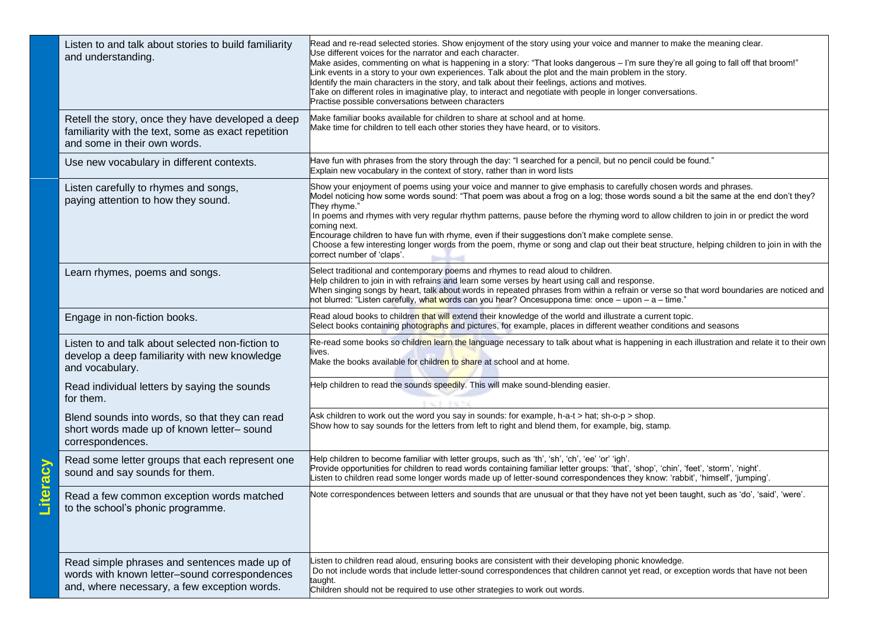| Listen to and talk about stories to build familiarity<br>and understanding.                                                                   | Read and re-read selected stories. Show enjoyment of the story using your voice and manner to make the meaning clear.<br>Use different voices for the narrator and each character.<br>Make asides, commenting on what is happening in a story: "That looks dangerous - I'm sure they're all going to fall off that broom!"<br>Link events in a story to your own experiences. Talk about the plot and the main problem in the story.<br>Identify the main characters in the story, and talk about their feelings, actions and motives.<br>Take on different roles in imaginative play, to interact and negotiate with people in longer conversations.<br>Practise possible conversations between characters    |
|-----------------------------------------------------------------------------------------------------------------------------------------------|----------------------------------------------------------------------------------------------------------------------------------------------------------------------------------------------------------------------------------------------------------------------------------------------------------------------------------------------------------------------------------------------------------------------------------------------------------------------------------------------------------------------------------------------------------------------------------------------------------------------------------------------------------------------------------------------------------------|
| Retell the story, once they have developed a deep<br>familiarity with the text, some as exact repetition<br>and some in their own words.      | Make familiar books available for children to share at school and at home.<br>Make time for children to tell each other stories they have heard, or to visitors.                                                                                                                                                                                                                                                                                                                                                                                                                                                                                                                                               |
| Use new vocabulary in different contexts.                                                                                                     | Have fun with phrases from the story through the day: "I searched for a pencil, but no pencil could be found."<br>Explain new vocabulary in the context of story, rather than in word lists                                                                                                                                                                                                                                                                                                                                                                                                                                                                                                                    |
| Listen carefully to rhymes and songs,<br>paying attention to how they sound.                                                                  | Show your enjoyment of poems using your voice and manner to give emphasis to carefully chosen words and phrases.<br>Model noticing how some words sound: "That poem was about a frog on a log; those words sound a bit the same at the end don't they?<br>They rhyme."<br>In poems and rhymes with very regular rhythm patterns, pause before the rhyming word to allow children to join in or predict the word<br>coming next.<br>Encourage children to have fun with rhyme, even if their suggestions don't make complete sense.<br>Choose a few interesting longer words from the poem, rhyme or song and clap out their beat structure, helping children to join in with the<br>correct number of 'claps'. |
| Learn rhymes, poems and songs.                                                                                                                | Select traditional and contemporary poems and rhymes to read aloud to children.<br>Help children to join in with refrains and learn some verses by heart using call and response.<br>When singing songs by heart, talk about words in repeated phrases from within a refrain or verse so that word boundaries are noticed and<br>not blurred: "Listen carefully, what words can you hear? Oncesuppona time: once - upon - a - time."                                                                                                                                                                                                                                                                           |
| Engage in non-fiction books.                                                                                                                  | Read aloud books to children that will extend their knowledge of the world and illustrate a current topic.<br>Select books containing photographs and pictures, for example, places in different weather conditions and seasons                                                                                                                                                                                                                                                                                                                                                                                                                                                                                |
| Listen to and talk about selected non-fiction to<br>develop a deep familiarity with new knowledge<br>and vocabulary.                          | Re-read some books so children learn the language necessary to talk about what is happening in each illustration and relate it to their own<br>llives.<br>Make the books available for children to share at school and at home.                                                                                                                                                                                                                                                                                                                                                                                                                                                                                |
| Read individual letters by saying the sounds<br>for them.                                                                                     | Help children to read the sounds speedily. This will make sound-blending easier.<br><b>ENT IND</b>                                                                                                                                                                                                                                                                                                                                                                                                                                                                                                                                                                                                             |
| Blend sounds into words, so that they can read<br>short words made up of known letter-sound<br>correspondences.                               | Ask children to work out the word you say in sounds: for example, h-a-t > hat; sh-o-p > shop.<br>Show how to say sounds for the letters from left to right and blend them, for example, big, stamp.                                                                                                                                                                                                                                                                                                                                                                                                                                                                                                            |
| Read some letter groups that each represent one<br>sound and say sounds for them.                                                             | Help children to become familiar with letter groups, such as 'th', 'sh', 'ch', 'ee' 'or' 'igh'.<br>Provide opportunities for children to read words containing familiar letter groups: 'that', 'shop', 'chin', 'feet', 'storm', 'night'.<br>Listen to children read some longer words made up of letter-sound correspondences they know: 'rabbit', 'himself', 'jumping'.                                                                                                                                                                                                                                                                                                                                       |
| Read a few common exception words matched<br>to the school's phonic programme.                                                                | Note correspondences between letters and sounds that are unusual or that they have not yet been taught, such as 'do', 'said', 'were'.                                                                                                                                                                                                                                                                                                                                                                                                                                                                                                                                                                          |
| Read simple phrases and sentences made up of<br>words with known letter-sound correspondences<br>and, where necessary, a few exception words. | Listen to children read aloud, ensuring books are consistent with their developing phonic knowledge.<br>Do not include words that include letter-sound correspondences that children cannot yet read, or exception words that have not been<br>taught.<br>Children should not be required to use other strategies to work out words.                                                                                                                                                                                                                                                                                                                                                                           |

**Literacy**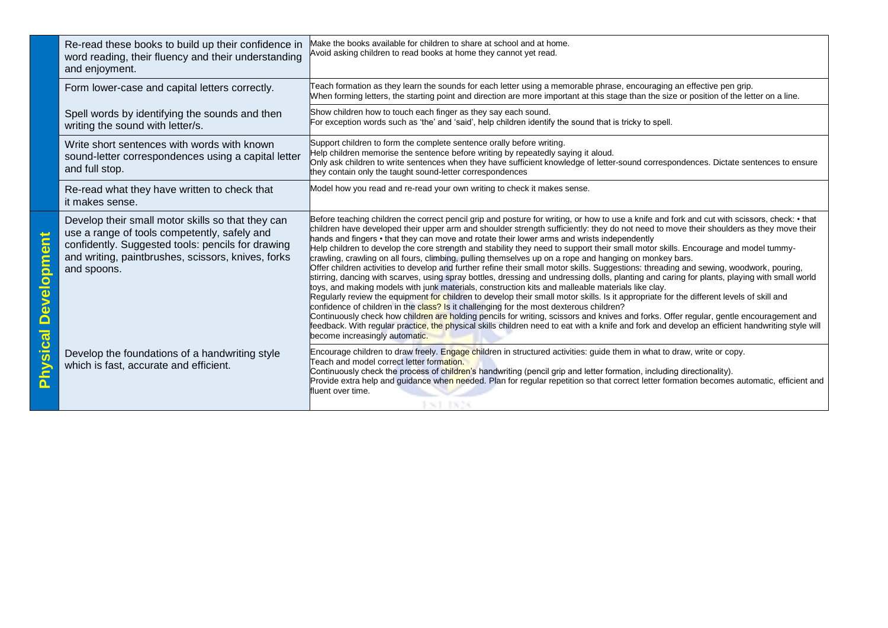| Re-read these books to build up their confidence in<br>word reading, their fluency and their understanding<br>and enjoyment.                                                                                                | Make the books available for children to share at school and at home.<br>Avoid asking children to read books at home they cannot yet read.                                                                                                                                                                                                                                                                                                                                                                                                                                                                                                                                                                                                                                                                                                                                                                                                                                                                                                                                                                                                                                                                                                                                                                                                                                                                                                                                                                                                                                                                     |
|-----------------------------------------------------------------------------------------------------------------------------------------------------------------------------------------------------------------------------|----------------------------------------------------------------------------------------------------------------------------------------------------------------------------------------------------------------------------------------------------------------------------------------------------------------------------------------------------------------------------------------------------------------------------------------------------------------------------------------------------------------------------------------------------------------------------------------------------------------------------------------------------------------------------------------------------------------------------------------------------------------------------------------------------------------------------------------------------------------------------------------------------------------------------------------------------------------------------------------------------------------------------------------------------------------------------------------------------------------------------------------------------------------------------------------------------------------------------------------------------------------------------------------------------------------------------------------------------------------------------------------------------------------------------------------------------------------------------------------------------------------------------------------------------------------------------------------------------------------|
| Form lower-case and capital letters correctly.                                                                                                                                                                              | Teach formation as they learn the sounds for each letter using a memorable phrase, encouraging an effective pen grip.<br>When forming letters, the starting point and direction are more important at this stage than the size or position of the letter on a line.                                                                                                                                                                                                                                                                                                                                                                                                                                                                                                                                                                                                                                                                                                                                                                                                                                                                                                                                                                                                                                                                                                                                                                                                                                                                                                                                            |
| Spell words by identifying the sounds and then<br>writing the sound with letter/s.                                                                                                                                          | Show children how to touch each finger as they say each sound.<br>For exception words such as 'the' and 'said', help children identify the sound that is tricky to spell.                                                                                                                                                                                                                                                                                                                                                                                                                                                                                                                                                                                                                                                                                                                                                                                                                                                                                                                                                                                                                                                                                                                                                                                                                                                                                                                                                                                                                                      |
| Write short sentences with words with known<br>sound-letter correspondences using a capital letter<br>and full stop.                                                                                                        | Support children to form the complete sentence orally before writing.<br>Help children memorise the sentence before writing by repeatedly saying it aloud.<br>Only ask children to write sentences when they have sufficient knowledge of letter-sound correspondences. Dictate sentences to ensure<br>they contain only the taught sound-letter correspondences                                                                                                                                                                                                                                                                                                                                                                                                                                                                                                                                                                                                                                                                                                                                                                                                                                                                                                                                                                                                                                                                                                                                                                                                                                               |
| Re-read what they have written to check that<br>it makes sense.                                                                                                                                                             | Model how you read and re-read your own writing to check it makes sense.                                                                                                                                                                                                                                                                                                                                                                                                                                                                                                                                                                                                                                                                                                                                                                                                                                                                                                                                                                                                                                                                                                                                                                                                                                                                                                                                                                                                                                                                                                                                       |
| Develop their small motor skills so that they can<br>use a range of tools competently, safely and<br>confidently. Suggested tools: pencils for drawing<br>and writing, paintbrushes, scissors, knives, forks<br>and spoons. | Before teaching children the correct pencil grip and posture for writing, or how to use a knife and fork and cut with scissors, check: • that<br>children have developed their upper arm and shoulder strength sufficiently: they do not need to move their shoulders as they move their<br>hands and fingers • that they can move and rotate their lower arms and wrists independently<br>Help children to develop the core strength and stability they need to support their small motor skills. Encourage and model tummy-<br>crawling, crawling on all fours, climbing, pulling themselves up on a rope and hanging on monkey bars.<br>Offer children activities to develop and further refine their small motor skills. Suggestions: threading and sewing, woodwork, pouring,<br>stirring, dancing with scarves, using spray bottles, dressing and undressing dolls, planting and caring for plants, playing with small world<br>toys, and making models with junk materials, construction kits and malleable materials like clay.<br>Regularly review the equipment for children to develop their small motor skills. Is it appropriate for the different levels of skill and<br>confidence of children in the class? Is it challenging for the most dexterous children?<br>Continuously check how children are holding pencils for writing, scissors and knives and forks. Offer regular, gentle encouragement and<br>feedback. With regular practice, the physical skills children need to eat with a knife and fork and develop an efficient handwriting style will<br>become increasingly automatic. |
| Develop the foundations of a handwriting style<br>which is fast, accurate and efficient.                                                                                                                                    | Encourage children to draw freely. Engage children in structured activities: guide them in what to draw, write or copy.<br>Teach and model correct letter formation.<br>Continuously check the process of children's handwriting (pencil grip and letter formation, including directionality).<br>Provide extra help and guidance when needed. Plan for regular repetition so that correct letter formation becomes automatic, efficient and<br>fluent over time.<br><b>JACK 1870</b>                                                                                                                                                                                                                                                                                                                                                                                                                                                                                                                                                                                                                                                                                                                                                                                                                                                                                                                                                                                                                                                                                                                          |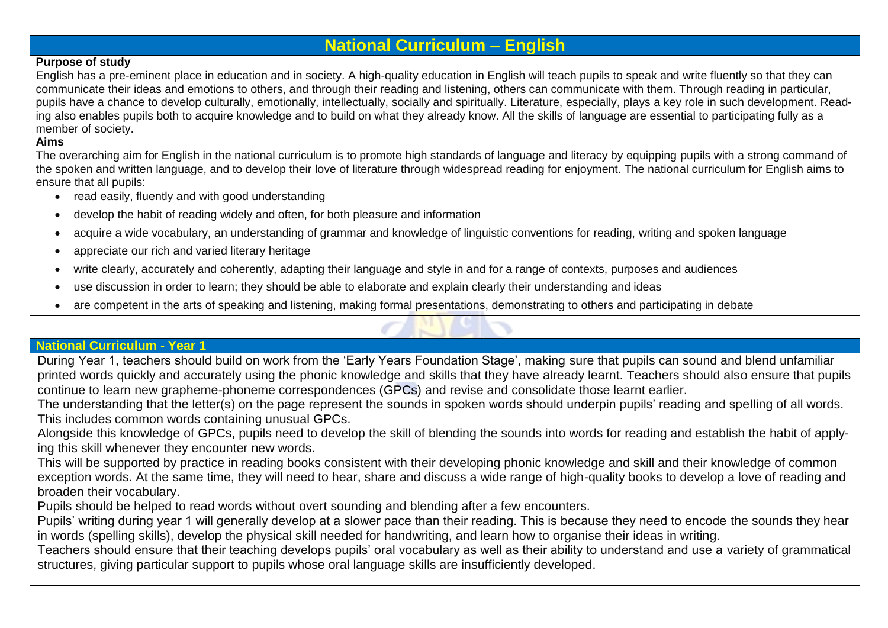# **National Curriculum – English**

### **Purpose of study**

English has a pre-eminent place in education and in society. A high-quality education in English will teach pupils to speak and write fluently so that they can communicate their ideas and emotions to others, and through their reading and listening, others can communicate with them. Through reading in particular, pupils have a chance to develop culturally, emotionally, intellectually, socially and spiritually. Literature, especially, plays a key role in such development. Reading also enables pupils both to acquire knowledge and to build on what they already know. All the skills of language are essential to participating fully as a member of society.

### **Aims**

The overarching aim for English in the national curriculum is to promote high standards of language and literacy by equipping pupils with a strong command of the spoken and written language, and to develop their love of literature through widespread reading for enjoyment. The national curriculum for English aims to ensure that all pupils:

- read easily, fluently and with good understanding
- develop the habit of reading widely and often, for both pleasure and information
- acquire a wide vocabulary, an understanding of grammar and knowledge of linguistic conventions for reading, writing and spoken language
- appreciate our rich and varied literary heritage
- write clearly, accurately and coherently, adapting their language and style in and for a range of contexts, purposes and audiences
- use discussion in order to learn; they should be able to elaborate and explain clearly their understanding and ideas
- are competent in the arts of speaking and listening, making formal presentations, demonstrating to others and participating in debate

### **National Curriculum - Year 1**

During Year 1, teachers should build on work from the 'Early Years Foundation Stage', making sure that pupils can sound and blend unfamiliar printed words quickly and accurately using the phonic knowledge and skills that they have already learnt. Teachers should also ensure that pupils continue to learn new grapheme-phoneme correspondences (GPCs) and revise and consolidate those learnt earlier.

The understanding that the letter(s) on the page represent the sounds in spoken words should underpin pupils' reading and spelling of all words. This includes common words containing unusual GPCs.

Alongside this knowledge of GPCs, pupils need to develop the skill of blending the sounds into words for reading and establish the habit of applying this skill whenever they encounter new words.

This will be supported by practice in reading books consistent with their developing phonic knowledge and skill and their knowledge of common exception words. At the same time, they will need to hear, share and discuss a wide range of high-quality books to develop a love of reading and broaden their vocabulary.

Pupils should be helped to read words without overt sounding and blending after a few encounters.

Pupils' writing during year 1 will generally develop at a slower pace than their reading. This is because they need to encode the sounds they hear in words (spelling skills), develop the physical skill needed for handwriting, and learn how to organise their ideas in writing.

Teachers should ensure that their teaching develops pupils' oral vocabulary as well as their ability to understand and use a variety of grammatical structures, giving particular support to pupils whose oral language skills are insufficiently developed.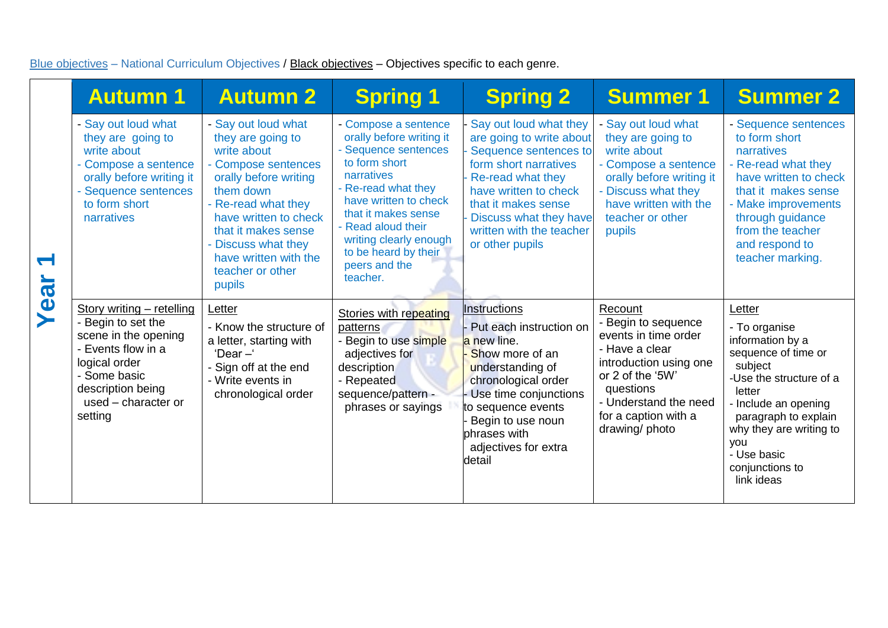|                              | <b>Autumn 1</b>                                                                                                                                                                       | <b>Autumn 2</b>                                                                                                                                                                                                                                                                     | <b>Spring 1</b>                                                                                                                                                                                                                                                                     | <b>Spring 2</b>                                                                                                                                                                                                                                    | <b>Summer 1</b>                                                                                                                                                                                        | <b>Summer 2</b>                                                                                                                                                                                                                                      |
|------------------------------|---------------------------------------------------------------------------------------------------------------------------------------------------------------------------------------|-------------------------------------------------------------------------------------------------------------------------------------------------------------------------------------------------------------------------------------------------------------------------------------|-------------------------------------------------------------------------------------------------------------------------------------------------------------------------------------------------------------------------------------------------------------------------------------|----------------------------------------------------------------------------------------------------------------------------------------------------------------------------------------------------------------------------------------------------|--------------------------------------------------------------------------------------------------------------------------------------------------------------------------------------------------------|------------------------------------------------------------------------------------------------------------------------------------------------------------------------------------------------------------------------------------------------------|
| ear<br>$\blacktriangleright$ | - Say out loud what<br>they are going to<br>write about<br>- Compose a sentence<br>orally before writing it<br>- Sequence sentences<br>to form short<br>narratives                    | - Say out loud what<br>they are going to<br>write about<br><b>Compose sentences</b><br>orally before writing<br>them down<br>- Re-read what they<br>have written to check<br>that it makes sense<br><b>Discuss what they</b><br>have written with the<br>teacher or other<br>pupils | - Compose a sentence<br>orally before writing it<br>- Sequence sentences<br>to form short<br>narratives<br>- Re-read what they<br>have written to check<br>that it makes sense<br>- Read aloud their<br>writing clearly enough<br>to be heard by their<br>peers and the<br>teacher. | Say out loud what they<br>are going to write about<br>Sequence sentences to<br>form short narratives<br>Re-read what they<br>have written to check<br>that it makes sense<br>Discuss what they have<br>written with the teacher<br>or other pupils | - Say out loud what<br>they are going to<br>write about<br>- Compose a sentence<br>orally before writing it<br>- Discuss what they<br>have written with the<br>teacher or other<br>pupils              | - Sequence sentences<br>to form short<br>narratives<br>- Re-read what they<br>have written to check<br>that it makes sense<br>- Make improvements<br>through guidance<br>from the teacher<br>and respond to<br>teacher marking.                      |
|                              | Story writing - retelling<br>- Begin to set the<br>scene in the opening<br>- Events flow in a<br>logical order<br>- Some basic<br>description being<br>used - character or<br>setting | Letter<br>- Know the structure of<br>a letter, starting with<br>'Dear-<br>- Sign off at the end<br>- Write events in<br>chronological order                                                                                                                                         | <b>Stories with repeating</b><br>patterns<br>- Begin to use simple<br>adjectives for<br>description<br>- Repeated<br>sequence/pattern -<br>phrases or sayings                                                                                                                       | Instructions<br>- Put each instruction on<br>a new line.<br>Show more of an<br>understanding of<br>chronological order<br>- Use time conjunctions<br>to sequence events<br>Begin to use noun<br>phrases with<br>adjectives for extra<br>detail     | Recount<br>- Begin to sequence<br>events in time order<br>- Have a clear<br>introduction using one<br>or 2 of the '5W'<br>questions<br>- Understand the need<br>for a caption with a<br>drawing/ photo | Letter<br>- To organise<br>information by a<br>sequence of time or<br>subject<br>-Use the structure of a<br>letter<br>- Include an opening<br>paragraph to explain<br>why they are writing to<br>you<br>- Use basic<br>conjunctions to<br>link ideas |

Blue objectives - National Curriculum Objectives / Black objectives - Objectives specific to each genre.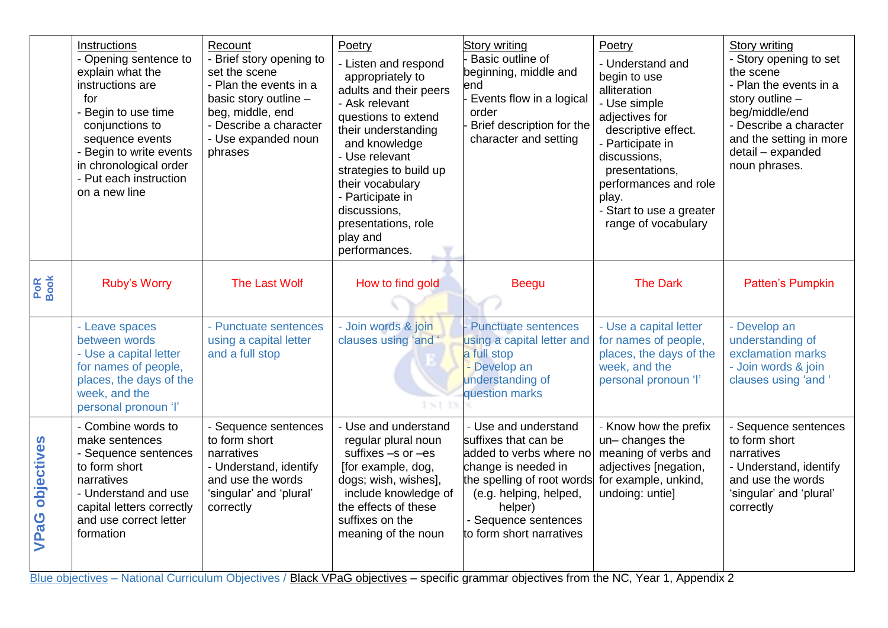|                    | Instructions<br>- Opening sentence to<br>explain what the<br>instructions are<br>for<br>Begin to use time<br>conjunctions to<br>sequence events<br>- Begin to write events<br>in chronological order<br>- Put each instruction<br>on a new line | Recount<br>- Brief story opening to<br>set the scene<br>- Plan the events in a<br>basic story outline -<br>beg, middle, end<br>- Describe a character<br>- Use expanded noun<br>phrases | Poetry<br>- Listen and respond<br>appropriately to<br>adults and their peers<br>- Ask relevant<br>questions to extend<br>their understanding<br>and knowledge<br>- Use relevant<br>strategies to build up<br>their vocabulary<br>- Participate in<br>discussions,<br>presentations, role<br>play and<br>performances. | <b>Story writing</b><br>Basic outline of<br>beginning, middle and<br>end<br>Events flow in a logical<br>order<br>Brief description for the<br>character and setting                                                 | Poetry<br>- Understand and<br>begin to use<br>alliteration<br>- Use simple<br>adjectives for<br>descriptive effect.<br>- Participate in<br>discussions,<br>presentations,<br>performances and role<br>play.<br>- Start to use a greater<br>range of vocabulary | Story writing<br>- Story opening to set<br>the scene<br>- Plan the events in a<br>story outline $-$<br>beg/middle/end<br>- Describe a character<br>and the setting in more<br>detail - expanded<br>noun phrases. |
|--------------------|-------------------------------------------------------------------------------------------------------------------------------------------------------------------------------------------------------------------------------------------------|-----------------------------------------------------------------------------------------------------------------------------------------------------------------------------------------|-----------------------------------------------------------------------------------------------------------------------------------------------------------------------------------------------------------------------------------------------------------------------------------------------------------------------|---------------------------------------------------------------------------------------------------------------------------------------------------------------------------------------------------------------------|----------------------------------------------------------------------------------------------------------------------------------------------------------------------------------------------------------------------------------------------------------------|------------------------------------------------------------------------------------------------------------------------------------------------------------------------------------------------------------------|
| PoR<br>Book        | <b>Ruby's Worry</b>                                                                                                                                                                                                                             | <b>The Last Wolf</b>                                                                                                                                                                    | How to find gold                                                                                                                                                                                                                                                                                                      | <b>Beegu</b>                                                                                                                                                                                                        | <b>The Dark</b>                                                                                                                                                                                                                                                | <b>Patten's Pumpkin</b>                                                                                                                                                                                          |
|                    | - Leave spaces<br>between words<br>- Use a capital letter<br>for names of people,<br>places, the days of the<br>week, and the<br>personal pronoun 'l'                                                                                           | - Punctuate sentences<br>using a capital letter<br>and a full stop                                                                                                                      | - Join words & join<br>clauses using 'and '                                                                                                                                                                                                                                                                           | <b>Punctuate sentences</b><br>using a capital letter and<br>a full stop<br>Develop an<br>understanding of<br>question marks                                                                                         | - Use a capital letter<br>for names of people,<br>places, the days of the<br>week, and the<br>personal pronoun 'l'                                                                                                                                             | - Develop an<br>understanding of<br>exclamation marks<br>- Join words & join<br>clauses using 'and '                                                                                                             |
| objectives<br>VPaG | - Combine words to<br>make sentences<br>- Sequence sentences<br>to form short<br>narratives<br>- Understand and use<br>capital letters correctly<br>and use correct letter<br>formation                                                         | - Sequence sentences<br>to form short<br>narratives<br>- Understand, identify<br>and use the words<br>'singular' and 'plural'<br>correctly                                              | - Use and understand<br>regular plural noun<br>suffixes $-s$ or $-es$<br>[for example, dog,<br>dogs; wish, wishes],<br>include knowledge of<br>the effects of these<br>suffixes on the<br>meaning of the noun                                                                                                         | Use and understand<br>suffixes that can be<br>added to verbs where no<br>change is needed in<br>the spelling of root words<br>(e.g. helping, helped,<br>helper)<br>- Sequence sentences<br>to form short narratives | - Know how the prefix<br>un-changes the<br>meaning of verbs and<br>adjectives [negation,<br>for example, unkind,<br>undoing: untie]                                                                                                                            | - Sequence sentences<br>to form short<br>narratives<br>- Understand, identify<br>and use the words<br>'singular' and 'plural'<br>correctly                                                                       |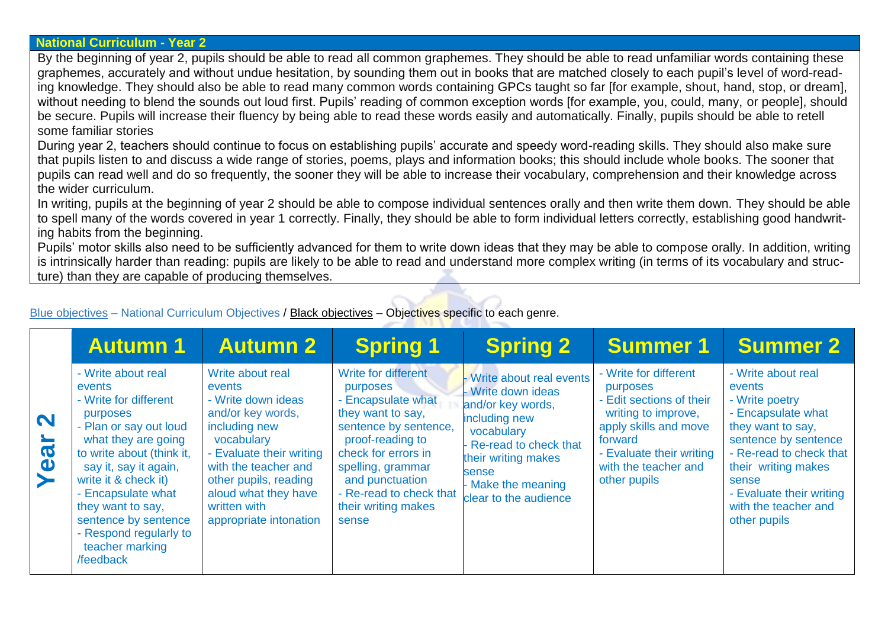#### **National Curriculum - Year 2**

By the beginning of year 2, pupils should be able to read all common graphemes. They should be able to read unfamiliar words containing these graphemes, accurately and without undue hesitation, by sounding them out in books that are matched closely to each pupil's level of word-reading knowledge. They should also be able to read many common words containing GPCs taught so far [for example, shout, hand, stop, or dream], without needing to blend the sounds out loud first. Pupils' reading of common exception words [for example, you, could, many, or people], should be secure. Pupils will increase their fluency by being able to read these words easily and automatically. Finally, pupils should be able to retell some familiar stories

During year 2, teachers should continue to focus on establishing pupils' accurate and speedy word-reading skills. They should also make sure that pupils listen to and discuss a wide range of stories, poems, plays and information books; this should include whole books. The sooner that pupils can read well and do so frequently, the sooner they will be able to increase their vocabulary, comprehension and their knowledge across the wider curriculum.

In writing, pupils at the beginning of year 2 should be able to compose individual sentences orally and then write them down. They should be able to spell many of the words covered in year 1 correctly. Finally, they should be able to form individual letters correctly, establishing good handwriting habits from the beginning.

Pupils' motor skills also need to be sufficiently advanced for them to write down ideas that they may be able to compose orally. In addition, writing is intrinsically harder than reading: pupils are likely to be able to read and understand more complex writing (in terms of its vocabulary and structure) than they are capable of producing themselves.

|                                                                   | <b>Autumn 1</b>                                                                                                                                                                                                                                                                                                               | <b>Autumn 2</b>                                                                                                                                                                                                                                     | <b>Spring 1</b>                                                                                                                                                                                                                                   | <b>Spring 2</b>                                                                                                                                                                                           | <b>Summer 1</b>                                                                                                                                                                              | <b>Summer 2</b>                                                                                                                                                                                                                                  |
|-------------------------------------------------------------------|-------------------------------------------------------------------------------------------------------------------------------------------------------------------------------------------------------------------------------------------------------------------------------------------------------------------------------|-----------------------------------------------------------------------------------------------------------------------------------------------------------------------------------------------------------------------------------------------------|---------------------------------------------------------------------------------------------------------------------------------------------------------------------------------------------------------------------------------------------------|-----------------------------------------------------------------------------------------------------------------------------------------------------------------------------------------------------------|----------------------------------------------------------------------------------------------------------------------------------------------------------------------------------------------|--------------------------------------------------------------------------------------------------------------------------------------------------------------------------------------------------------------------------------------------------|
| $\boldsymbol{\mathsf{N}}$<br><b>Jree</b><br>$\blacktriangleright$ | - Write about real<br>events<br>- Write for different<br>purposes<br>- Plan or say out loud<br>what they are going<br>to write about (think it,<br>say it, say it again,<br>write it & check it)<br>- Encapsulate what<br>they want to say,<br>sentence by sentence<br>- Respond regularly to<br>teacher marking<br>/feedback | Write about real<br>events<br>- Write down ideas<br>and/or key words,<br>including new<br>vocabulary<br>- Evaluate their writing<br>with the teacher and<br>other pupils, reading<br>aloud what they have<br>written with<br>appropriate intonation | Write for different<br>purposes<br>- Encapsulate what<br>they want to say,<br>sentence by sentence,<br>proof-reading to<br>check for errors in<br>spelling, grammar<br>and punctuation<br>- Re-read to check that<br>their writing makes<br>sense | - Write about real events<br>- Write down ideas<br>and/or key words,<br>including new<br>vocabulary<br>Re-read to check that<br>their writing makes<br>sense<br>Make the meaning<br>clear to the audience | - Write for different<br>purposes<br>- Edit sections of their<br>writing to improve,<br>apply skills and move<br>forward<br>- Evaluate their writing<br>with the teacher and<br>other pupils | - Write about real<br>events<br>- Write poetry<br>- Encapsulate what<br>they want to say,<br>sentence by sentence<br>- Re-read to check that<br>their writing makes<br>sense<br>- Evaluate their writing<br>with the teacher and<br>other pupils |

Blue objectives – National Curriculum Objectives / Black objectives – Objectives specific to each genre.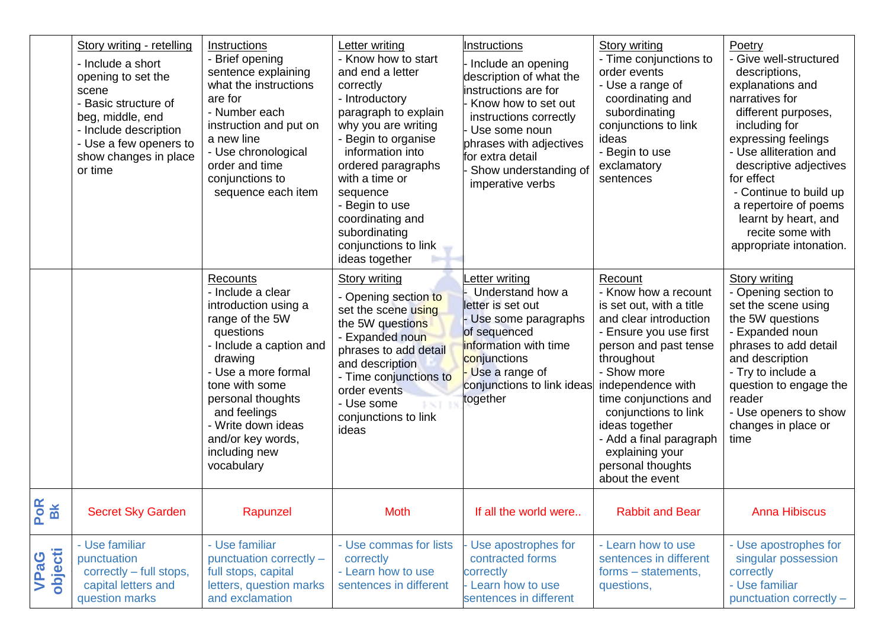|                     | Story writing - retelling<br>- Include a short<br>opening to set the<br>scene<br>- Basic structure of<br>beg, middle, end<br>- Include description<br>- Use a few openers to<br>show changes in place<br>or time | Instructions<br>- Brief opening<br>sentence explaining<br>what the instructions<br>are for<br>- Number each<br>instruction and put on<br>a new line<br>- Use chronological<br>order and time<br>conjunctions to<br>sequence each item                                               | Letter writing<br>- Know how to start<br>and end a letter<br>correctly<br>- Introductory<br>paragraph to explain<br>why you are writing<br>- Begin to organise<br>information into<br>ordered paragraphs<br>with a time or<br>sequence<br>- Begin to use<br>coordinating and<br>subordinating<br>conjunctions to link<br>ideas together | Instructions<br>Include an opening<br>description of what the<br>instructions are for<br>Know how to set out<br>instructions correctly<br>Use some noun<br>phrases with adjectives<br>for extra detail<br>Show understanding of<br>imperative verbs | <b>Story writing</b><br>- Time conjunctions to<br>order events<br>- Use a range of<br>coordinating and<br>subordinating<br>conjunctions to link<br>ideas<br>- Begin to use<br>exclamatory<br>sentences                                                                                                                                              | Poetry<br>- Give well-structured<br>descriptions,<br>explanations and<br>narratives for<br>different purposes,<br>including for<br>expressing feelings<br>- Use alliteration and<br>descriptive adjectives<br>for effect<br>- Continue to build up<br>a repertoire of poems<br>learnt by heart, and<br>recite some with<br>appropriate intonation. |
|---------------------|------------------------------------------------------------------------------------------------------------------------------------------------------------------------------------------------------------------|-------------------------------------------------------------------------------------------------------------------------------------------------------------------------------------------------------------------------------------------------------------------------------------|-----------------------------------------------------------------------------------------------------------------------------------------------------------------------------------------------------------------------------------------------------------------------------------------------------------------------------------------|-----------------------------------------------------------------------------------------------------------------------------------------------------------------------------------------------------------------------------------------------------|-----------------------------------------------------------------------------------------------------------------------------------------------------------------------------------------------------------------------------------------------------------------------------------------------------------------------------------------------------|----------------------------------------------------------------------------------------------------------------------------------------------------------------------------------------------------------------------------------------------------------------------------------------------------------------------------------------------------|
|                     |                                                                                                                                                                                                                  | Recounts<br>- Include a clear<br>introduction using a<br>range of the 5W<br>questions<br>- Include a caption and<br>drawing<br>- Use a more formal<br>tone with some<br>personal thoughts<br>and feelings<br>- Write down ideas<br>and/or key words,<br>including new<br>vocabulary | <b>Story writing</b><br>- Opening section to<br>set the scene using<br>the 5W questions<br>- Expanded noun<br>phrases to add detail<br>and description<br>- Time conjunctions to<br>order events<br>- Use some<br>conjunctions to link<br>ideas                                                                                         | Letter writing<br>Understand how a<br>letter is set out<br>Use some paragraphs<br>of sequenced<br>information with time<br>conjunctions<br>Use a range of<br>conjunctions to link ideas<br>together                                                 | Recount<br>- Know how a recount<br>is set out, with a title<br>and clear introduction<br>- Ensure you use first<br>person and past tense<br>throughout<br>- Show more<br>independence with<br>time conjunctions and<br>conjunctions to link<br>ideas together<br>- Add a final paragraph<br>explaining your<br>personal thoughts<br>about the event | Story writing<br>- Opening section to<br>set the scene using<br>the 5W questions<br>- Expanded noun<br>phrases to add detail<br>and description<br>- Try to include a<br>question to engage the<br>reader<br>- Use openers to show<br>changes in place or<br>time                                                                                  |
| PoR<br>$\mathbf{B}$ | <b>Secret Sky Garden</b>                                                                                                                                                                                         | Rapunzel                                                                                                                                                                                                                                                                            | <b>Moth</b>                                                                                                                                                                                                                                                                                                                             | If all the world were                                                                                                                                                                                                                               | <b>Rabbit and Bear</b>                                                                                                                                                                                                                                                                                                                              | <b>Anna Hibiscus</b>                                                                                                                                                                                                                                                                                                                               |
| VPaG<br>objecti     | - Use familiar<br>punctuation<br>correctly - full stops,<br>capital letters and<br>question marks                                                                                                                | - Use familiar<br>punctuation correctly -<br>full stops, capital<br>letters, question marks<br>and exclamation                                                                                                                                                                      | - Use commas for lists<br>correctly<br>- Learn how to use<br>sentences in different                                                                                                                                                                                                                                                     | Use apostrophes for<br>contracted forms<br>correctly<br>Learn how to use<br>sentences in different                                                                                                                                                  | - Learn how to use<br>sentences in different<br>forms – statements,<br>questions,                                                                                                                                                                                                                                                                   | - Use apostrophes for<br>singular possession<br>correctly<br>- Use familiar<br>punctuation correctly -                                                                                                                                                                                                                                             |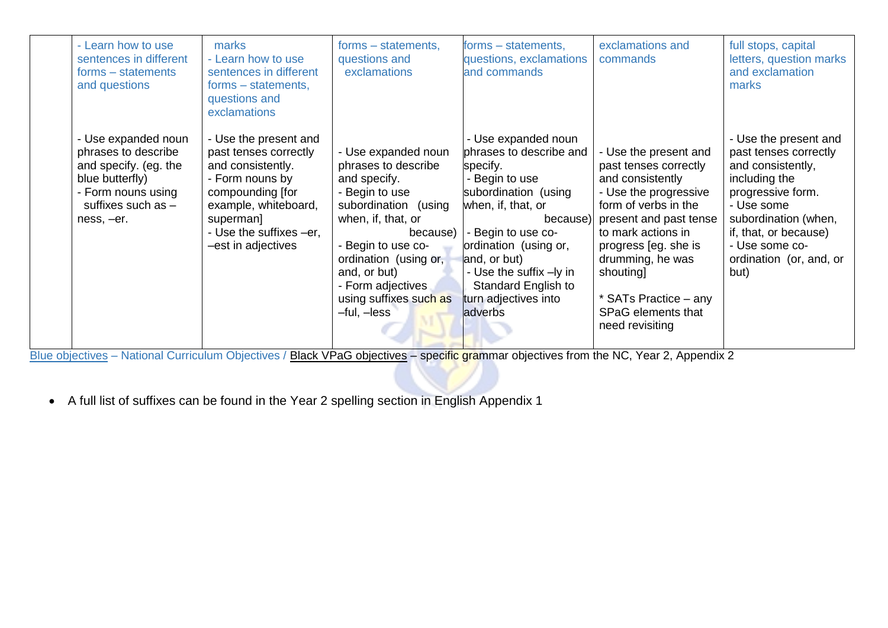| - Learn how to use<br>sentences in different<br>forms – statements<br>and questions                                                                  | marks<br>- Learn how to use<br>sentences in different<br>forms – statements,<br>questions and<br><b>exclamations</b>                                                                             | forms – statements,<br>questions and<br>exclamations                                                                                                                                                                                                                | forms – statements,<br>questions, exclamations<br>and commands                                                                                                                                                                                                                             | exclamations and<br>commands                                                                                                                                                                                                                                                                  | full stops, capital<br>letters, question marks<br>and exclamation<br>marks                                                                                                                                                    |
|------------------------------------------------------------------------------------------------------------------------------------------------------|--------------------------------------------------------------------------------------------------------------------------------------------------------------------------------------------------|---------------------------------------------------------------------------------------------------------------------------------------------------------------------------------------------------------------------------------------------------------------------|--------------------------------------------------------------------------------------------------------------------------------------------------------------------------------------------------------------------------------------------------------------------------------------------|-----------------------------------------------------------------------------------------------------------------------------------------------------------------------------------------------------------------------------------------------------------------------------------------------|-------------------------------------------------------------------------------------------------------------------------------------------------------------------------------------------------------------------------------|
| - Use expanded noun<br>phrases to describe<br>and specify. (eg. the<br>blue butterfly)<br>- Form nouns using<br>suffixes such as $-$<br>$ness, -er.$ | - Use the present and<br>past tenses correctly<br>and consistently.<br>- Form nouns by<br>compounding [for<br>example, whiteboard,<br>superman]<br>- Use the suffixes -er,<br>-est in adjectives | - Use expanded noun<br>phrases to describe<br>and specify.<br>- Begin to use<br>subordination (using<br>when, if, that, or<br>because)<br>- Begin to use co-<br>ordination (using or,<br>and, or but)<br>- Form adjectives<br>using suffixes such as<br>-ful, -less | - Use expanded noun<br>phrases to describe and<br>specify.<br>- Begin to use<br>subordination (using<br>when, if, that, or<br>because)<br>- Begin to use co-<br>ordination (using or,<br>and, or but)<br>- Use the suffix -ly in<br>Standard English to<br>turn adjectives into<br>adverbs | - Use the present and<br>past tenses correctly<br>and consistently<br>- Use the progressive<br>form of verbs in the<br>present and past tense<br>to mark actions in<br>progress [eg. she is<br>drumming, he was<br>shouting<br>* SATs Practice – any<br>SPaG elements that<br>need revisiting | - Use the present and<br>past tenses correctly<br>and consistently,<br>including the<br>progressive form.<br>- Use some<br>subordination (when,<br>if, that, or because)<br>- Use some co-<br>ordination (or, and, or<br>but) |

Blue objectives – National Curriculum Objectives / Black VPaG objectives – specific grammar objectives from the NC, Year 2, Appendix 2

A full list of suffixes can be found in the Year 2 spelling section in English Appendix 1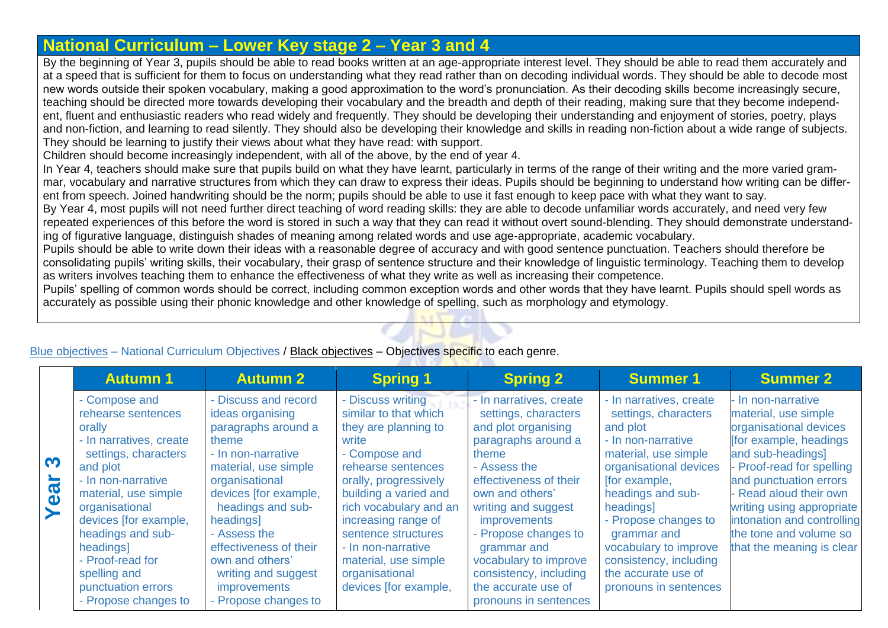# **National Curriculum – Lower Key stage 2 – Year 3 and 4**

By the beginning of Year 3, pupils should be able to read books written at an age-appropriate interest level. They should be able to read them accurately and at a speed that is sufficient for them to focus on understanding what they read rather than on decoding individual words. They should be able to decode most new words outside their spoken vocabulary, making a good approximation to the word's pronunciation. As their decoding skills become increasingly secure, teaching should be directed more towards developing their vocabulary and the breadth and depth of their reading, making sure that they become independent, fluent and enthusiastic readers who read widely and frequently. They should be developing their understanding and enjoyment of stories, poetry, plays and non-fiction, and learning to read silently. They should also be developing their knowledge and skills in reading non-fiction about a wide range of subjects. They should be learning to justify their views about what they have read: with support.

Children should become increasingly independent, with all of the above, by the end of year 4.

In Year 4, teachers should make sure that pupils build on what they have learnt, particularly in terms of the range of their writing and the more varied grammar, vocabulary and narrative structures from which they can draw to express their ideas. Pupils should be beginning to understand how writing can be different from speech. Joined handwriting should be the norm; pupils should be able to use it fast enough to keep pace with what they want to say.

By Year 4, most pupils will not need further direct teaching of word reading skills: they are able to decode unfamiliar words accurately, and need very few repeated experiences of this before the word is stored in such a way that they can read it without overt sound-blending. They should demonstrate understanding of figurative language, distinguish shades of meaning among related words and use age-appropriate, academic vocabulary.

Pupils should be able to write down their ideas with a reasonable degree of accuracy and with good sentence punctuation. Teachers should therefore be consolidating pupils' writing skills, their vocabulary, their grasp of sentence structure and their knowledge of linguistic terminology. Teaching them to develop as writers involves teaching them to enhance the effectiveness of what they write as well as increasing their competence.

Pupils' spelling of common words should be correct, including common exception words and other words that they have learnt. Pupils should spell words as accurately as possible using their phonic knowledge and other knowledge of spelling, such as morphology and etymology.

|          | <b>Autumn 1</b>                                                                                                                                                                                                                                                                                                           | <b>Autumn 2</b>                                                                                                                                                                                                                                                                                                                 | <b>Spring 1</b>                                                                                                                                                                                                                                                                                                                       | <b>Spring 2</b>                                                                                                                                                                                                                                                                                                                                      | <b>Summer 1</b>                                                                                                                                                                                                                                                                                                                 | <b>Summer 2</b>                                                                                                                                                                                                                                                                                                      |
|----------|---------------------------------------------------------------------------------------------------------------------------------------------------------------------------------------------------------------------------------------------------------------------------------------------------------------------------|---------------------------------------------------------------------------------------------------------------------------------------------------------------------------------------------------------------------------------------------------------------------------------------------------------------------------------|---------------------------------------------------------------------------------------------------------------------------------------------------------------------------------------------------------------------------------------------------------------------------------------------------------------------------------------|------------------------------------------------------------------------------------------------------------------------------------------------------------------------------------------------------------------------------------------------------------------------------------------------------------------------------------------------------|---------------------------------------------------------------------------------------------------------------------------------------------------------------------------------------------------------------------------------------------------------------------------------------------------------------------------------|----------------------------------------------------------------------------------------------------------------------------------------------------------------------------------------------------------------------------------------------------------------------------------------------------------------------|
| S<br>Yea | - Compose and<br>rehearse sentences<br>orally<br>- In narratives, create<br>settings, characters<br>and plot<br>- In non-narrative<br>material, use simple<br>organisational<br>devices [for example,<br>headings and sub-<br>headings]<br>- Proof-read for<br>spelling and<br>punctuation errors<br>- Propose changes to | - Discuss and record<br>ideas organising<br>paragraphs around a<br>theme<br>- In non-narrative<br>material, use simple<br>organisational<br>devices [for example,<br>headings and sub-<br>headings]<br>- Assess the<br>effectiveness of their<br>own and others'<br>writing and suggest<br>improvements<br>- Propose changes to | - Discuss writing<br>similar to that which<br>they are planning to<br>write<br>- Compose and<br>rehearse sentences<br>orally, progressively<br>building a varied and<br>rich vocabulary and an<br>increasing range of<br>sentence structures<br>- In non-narrative<br>material, use simple<br>organisational<br>devices [for example, | - In narratives, create<br>settings, characters<br>and plot organising<br>paragraphs around a<br>theme<br>- Assess the<br>effectiveness of their<br>own and others'<br>writing and suggest<br>improvements<br>- Propose changes to<br>grammar and<br>vocabulary to improve<br>consistency, including<br>the accurate use of<br>pronouns in sentences | - In narratives, create<br>settings, characters<br>and plot<br>- In non-narrative<br>material, use simple<br>organisational devices<br>for example,<br>headings and sub-<br>headings]<br>- Propose changes to<br>grammar and<br>vocabulary to improve<br>consistency, including<br>the accurate use of<br>pronouns in sentences | - In non-narrative<br>material, use simple<br>organisational devices<br>[for example, headings<br>and sub-headings]<br>Proof-read for spelling<br>and punctuation errors<br>- Read aloud their own<br>writing using appropriate<br>intonation and controlling<br>the tone and volume so<br>that the meaning is clear |

## Blue objectives – National Curriculum Objectives / Black objectives – Objectives specific to each genre.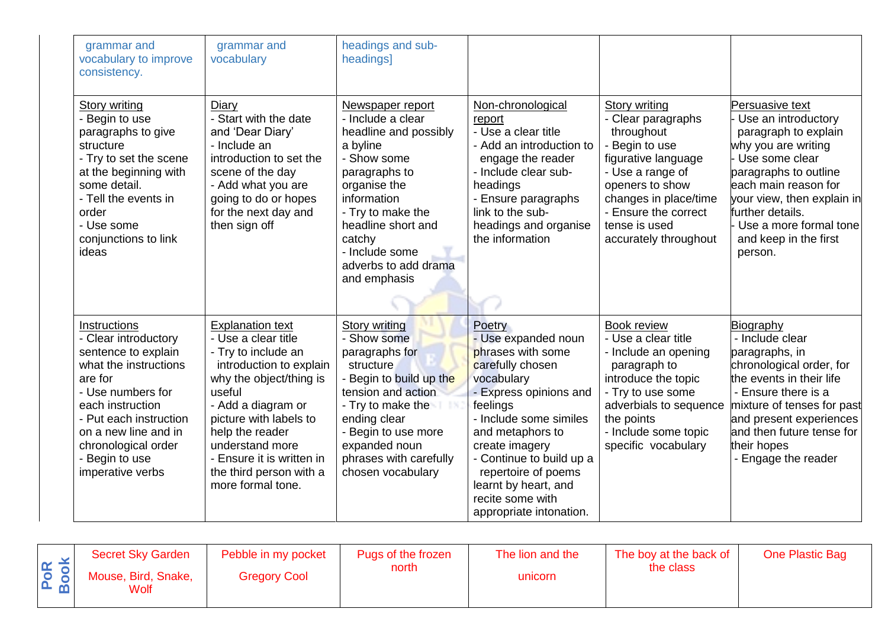| grammar and<br>vocabulary to improve<br>consistency.                                                                                                                                                                                                    | grammar and<br>vocabulary                                                                                                                                                                                                                                                                                | headings and sub-<br>headings]                                                                                                                                                                                                                           |                                                                                                                                                                                                                                                                                                                      |                                                                                                                                                                                                                                     |                                                                                                                                                                                                                                                                          |
|---------------------------------------------------------------------------------------------------------------------------------------------------------------------------------------------------------------------------------------------------------|----------------------------------------------------------------------------------------------------------------------------------------------------------------------------------------------------------------------------------------------------------------------------------------------------------|----------------------------------------------------------------------------------------------------------------------------------------------------------------------------------------------------------------------------------------------------------|----------------------------------------------------------------------------------------------------------------------------------------------------------------------------------------------------------------------------------------------------------------------------------------------------------------------|-------------------------------------------------------------------------------------------------------------------------------------------------------------------------------------------------------------------------------------|--------------------------------------------------------------------------------------------------------------------------------------------------------------------------------------------------------------------------------------------------------------------------|
| <b>Story writing</b><br>- Begin to use<br>paragraphs to give<br>structure<br>- Try to set the scene<br>at the beginning with<br>some detail.<br>- Tell the events in<br>order<br>- Use some<br>conjunctions to link<br>ideas                            | Diary<br>- Start with the date<br>and 'Dear Diary'<br>- Include an<br>introduction to set the<br>scene of the day<br>- Add what you are<br>going to do or hopes<br>for the next day and<br>then sign off                                                                                                 | Newspaper report<br>- Include a clear<br>headline and possibly<br>a byline<br>- Show some<br>paragraphs to<br>organise the<br>information<br>- Try to make the<br>headline short and<br>catchy<br>- Include some<br>adverbs to add drama<br>and emphasis | Non-chronological<br>report<br>- Use a clear title<br>- Add an introduction to<br>engage the reader<br>- Include clear sub-<br>headings<br>- Ensure paragraphs<br>link to the sub-<br>headings and organise<br>the information                                                                                       | <b>Story writing</b><br>- Clear paragraphs<br>throughout<br>- Begin to use<br>figurative language<br>- Use a range of<br>openers to show<br>changes in place/time<br>- Ensure the correct<br>tense is used<br>accurately throughout | Persuasive text<br>Use an introductory<br>paragraph to explain<br>why you are writing<br>Use some clear<br>paragraphs to outline<br>each main reason for<br>your view, then explain in<br>further details.<br>Use a more formal tone<br>and keep in the first<br>person. |
| Instructions<br>- Clear introductory<br>sentence to explain<br>what the instructions<br>are for<br>- Use numbers for<br>each instruction<br>- Put each instruction<br>on a new line and in<br>chronological order<br>- Begin to use<br>imperative verbs | <b>Explanation text</b><br>- Use a clear title<br>- Try to include an<br>introduction to explain<br>why the object/thing is<br>useful<br>- Add a diagram or<br>picture with labels to<br>help the reader<br>understand more<br>- Ensure it is written in<br>the third person with a<br>more formal tone. | <b>Story writing</b><br>- Show some<br>paragraphs for<br>structure<br>- Begin to build up the<br>tension and action<br>- Try to make the<br>ending clear<br>- Begin to use more<br>expanded noun<br>phrases with carefully<br>chosen vocabulary          | Poetry<br>- Use expanded noun<br>phrases with some<br>carefully chosen<br>vocabulary<br>- Express opinions and<br>feelings<br>- Include some similes<br>and metaphors to<br>create imagery<br>- Continue to build up a<br>repertoire of poems<br>learnt by heart, and<br>recite some with<br>appropriate intonation. | Book review<br>- Use a clear title<br>- Include an opening<br>paragraph to<br>introduce the topic<br>- Try to use some<br>adverbials to sequence<br>the points<br>- Include some topic<br>specific vocabulary                       | Biography<br>- Include clear<br>paragraphs, in<br>chronological order, for<br>the events in their life<br>- Ensure there is a<br>mixture of tenses for past<br>and present experiences<br>and then future tense for<br>their hopes<br>- Engage the reader                |

|          | <b>Secret Sky Garden</b>    | Pebble in my pocket | Pugs of the frozen | The lion and the | The boy at the back of | One Plastic Bag |
|----------|-----------------------------|---------------------|--------------------|------------------|------------------------|-----------------|
| $\alpha$ | Mouse, Bird, Snake,<br>Wolf | <b>Gregory Cool</b> | north              | unicorn          | the class              |                 |
|          |                             |                     |                    |                  |                        |                 |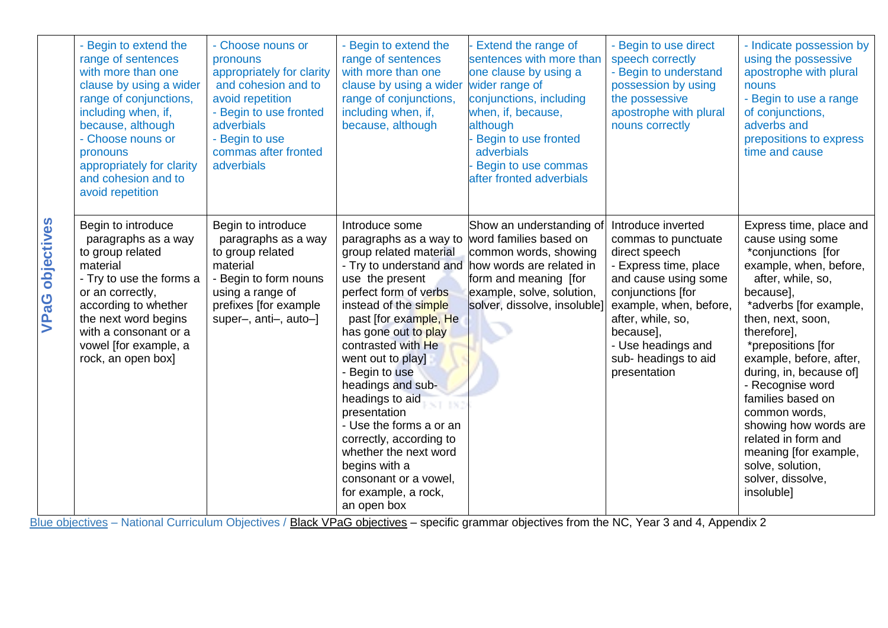|                        | - Begin to extend the<br>range of sentences<br>with more than one<br>clause by using a wider<br>range of conjunctions,<br>including when, if,<br>because, although<br>- Choose nouns or<br>pronouns<br>appropriately for clarity<br>and cohesion and to<br>avoid repetition | - Choose nouns or<br>pronouns<br>appropriately for clarity<br>and cohesion and to<br>avoid repetition<br>- Begin to use fronted<br>adverbials<br>- Begin to use<br>commas after fronted<br>adverbials | - Begin to extend the<br>range of sentences<br>with more than one<br>clause by using a wider<br>range of conjunctions,<br>including when, if,<br>because, although                                                                                                                                                                                                                                                                                                            | Extend the range of<br>sentences with more than<br>one clause by using a<br>wider range of<br>conjunctions, including<br>when, if, because,<br>although<br>Begin to use fronted<br>adverbials<br>Begin to use commas<br>after fronted adverbials | - Begin to use direct<br>speech correctly<br>- Begin to understand<br>possession by using<br>the possessive<br>apostrophe with plural<br>nouns correctly                                                                                                   | - Indicate possession by<br>using the possessive<br>apostrophe with plural<br>nouns<br>- Begin to use a range<br>of conjunctions,<br>adverbs and<br>prepositions to express<br>time and cause                                                                                                                                                                                                                                                                     |
|------------------------|-----------------------------------------------------------------------------------------------------------------------------------------------------------------------------------------------------------------------------------------------------------------------------|-------------------------------------------------------------------------------------------------------------------------------------------------------------------------------------------------------|-------------------------------------------------------------------------------------------------------------------------------------------------------------------------------------------------------------------------------------------------------------------------------------------------------------------------------------------------------------------------------------------------------------------------------------------------------------------------------|--------------------------------------------------------------------------------------------------------------------------------------------------------------------------------------------------------------------------------------------------|------------------------------------------------------------------------------------------------------------------------------------------------------------------------------------------------------------------------------------------------------------|-------------------------------------------------------------------------------------------------------------------------------------------------------------------------------------------------------------------------------------------------------------------------------------------------------------------------------------------------------------------------------------------------------------------------------------------------------------------|
| <b>VPaG objectives</b> | Begin to introduce<br>paragraphs as a way<br>to group related<br>material<br>- Try to use the forms a<br>or an correctly,<br>according to whether<br>the next word begins<br>with a consonant or a<br>vowel [for example, a<br>rock, an open box]                           | Begin to introduce<br>paragraphs as a way<br>to group related<br>material<br>- Begin to form nouns<br>using a range of<br>prefixes [for example<br>super-, anti-, auto-]                              | Introduce some<br>paragraphs as a way to<br>group related material<br>use the present<br>perfect form of verbs<br>instead of the simple<br>past [for example, He<br>has gone out to play<br>contrasted with He<br>went out to play]<br>- Begin to use<br>headings and sub-<br>headings to aid<br>presentation<br>- Use the forms a or an<br>correctly, according to<br>whether the next word<br>begins with a<br>consonant or a vowel,<br>for example, a rock,<br>an open box | Show an understanding of<br>word families based on<br>common words, showing<br>- Try to understand and how words are related in<br>form and meaning [for<br>example, solve, solution,<br>solver, dissolve, insoluble]                            | Introduce inverted<br>commas to punctuate<br>direct speech<br>- Express time, place<br>and cause using some<br>conjunctions [for<br>example, when, before,<br>after, while, so,<br>because],<br>- Use headings and<br>sub- headings to aid<br>presentation | Express time, place and<br>cause using some<br>*conjunctions [for<br>example, when, before,<br>after, while, so,<br>because],<br>*adverbs [for example,<br>then, next, soon,<br>therefore],<br>*prepositions [for<br>example, before, after,<br>during, in, because of]<br>- Recognise word<br>families based on<br>common words,<br>showing how words are<br>related in form and<br>meaning [for example,<br>solve, solution,<br>solver, dissolve,<br>insoluble] |

Blue objectives – National Curriculum Objectives / Black VPaG objectives – specific grammar objectives from the NC, Year 3 and 4, Appendix 2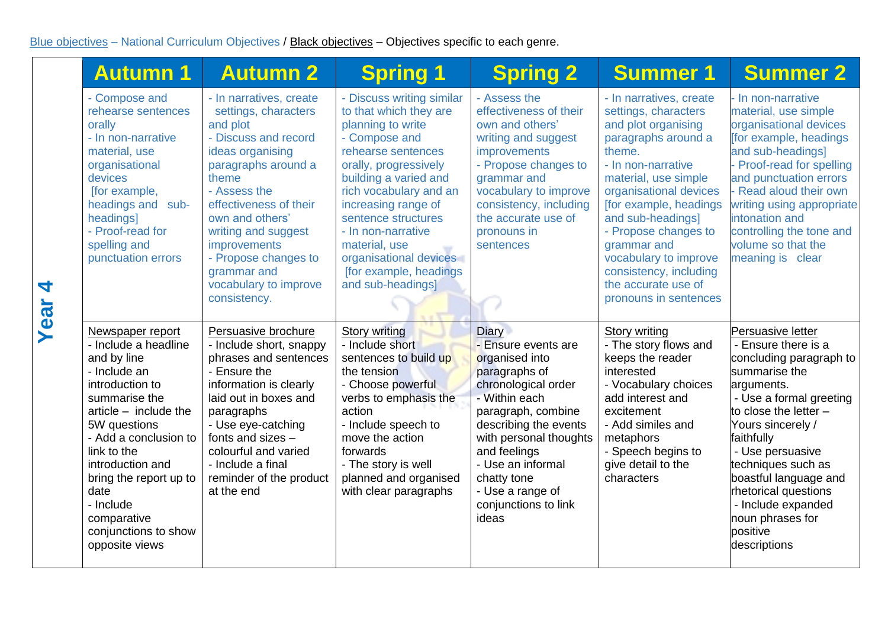**Year 4**

| <b>Autumn 1</b>                                                                                                                                                                                                                                                                                                            | <b>Autumn 2</b>                                                                                                                                                                                                                                                                                                             | <b>Spring 1</b>                                                                                                                                                                                                                                                                                                                                           | <b>Spring 2</b>                                                                                                                                                                                                                                                                                  | <b>Summer 1</b>                                                                                                                                                                                                                                                                                                                                                           | <b>Summer 2</b>                                                                                                                                                                                                                                                                                                                                              |
|----------------------------------------------------------------------------------------------------------------------------------------------------------------------------------------------------------------------------------------------------------------------------------------------------------------------------|-----------------------------------------------------------------------------------------------------------------------------------------------------------------------------------------------------------------------------------------------------------------------------------------------------------------------------|-----------------------------------------------------------------------------------------------------------------------------------------------------------------------------------------------------------------------------------------------------------------------------------------------------------------------------------------------------------|--------------------------------------------------------------------------------------------------------------------------------------------------------------------------------------------------------------------------------------------------------------------------------------------------|---------------------------------------------------------------------------------------------------------------------------------------------------------------------------------------------------------------------------------------------------------------------------------------------------------------------------------------------------------------------------|--------------------------------------------------------------------------------------------------------------------------------------------------------------------------------------------------------------------------------------------------------------------------------------------------------------------------------------------------------------|
| - Compose and<br>rehearse sentences<br>orally<br>- In non-narrative<br>material, use<br>organisational<br>devices<br>[for example,<br>headings and sub-<br>headings]<br>- Proof-read for<br>spelling and<br>punctuation errors                                                                                             | - In narratives, create<br>settings, characters<br>and plot<br>- Discuss and record<br>ideas organising<br>paragraphs around a<br>theme<br>- Assess the<br>effectiveness of their<br>own and others'<br>writing and suggest<br>improvements<br>- Propose changes to<br>grammar and<br>vocabulary to improve<br>consistency. | - Discuss writing similar<br>to that which they are<br>planning to write<br>- Compose and<br>rehearse sentences<br>orally, progressively<br>building a varied and<br>rich vocabulary and an<br>increasing range of<br>sentence structures<br>- In non-narrative<br>material, use<br>organisational devices<br>[for example, headings<br>and sub-headings] | - Assess the<br>effectiveness of their<br>own and others'<br>writing and suggest<br>improvements<br>- Propose changes to<br>grammar and<br>vocabulary to improve<br>consistency, including<br>the accurate use of<br>pronouns in<br>sentences                                                    | - In narratives, create<br>settings, characters<br>and plot organising<br>paragraphs around a<br>theme.<br>- In non-narrative<br>material, use simple<br>organisational devices<br>[for example, headings]<br>and sub-headings]<br>- Propose changes to<br>grammar and<br>vocabulary to improve<br>consistency, including<br>the accurate use of<br>pronouns in sentences | In non-narrative<br>material, use simple<br>organisational devices<br>[for example, headings<br>and sub-headings]<br>Proof-read for spelling<br>and punctuation errors<br>Read aloud their own<br>writing using appropriate<br>intonation and<br>controlling the tone and<br>volume so that the<br>meaning is clear                                          |
| Newspaper report<br>- Include a headline<br>and by line<br>- Include an<br>introduction to<br>summarise the<br>$article - include the$<br>5W questions<br>- Add a conclusion to<br>link to the<br>introduction and<br>bring the report up to<br>date<br>- Include<br>comparative<br>conjunctions to show<br>opposite views | Persuasive brochure<br>- Include short, snappy<br>phrases and sentences<br>- Ensure the<br>information is clearly<br>laid out in boxes and<br>paragraphs<br>- Use eye-catching<br>fonts and sizes $-$<br>colourful and varied<br>- Include a final<br>reminder of the product<br>at the end                                 | Story writing<br>- Include short<br>sentences to build up<br>the tension<br>- Choose powerful<br>verbs to emphasis the<br>action<br>- Include speech to<br>move the action<br>forwards<br>- The story is well<br>planned and organised<br>with clear paragraphs                                                                                           | <b>Diary</b><br>- Ensure events are<br>organised into<br>paragraphs of<br>chronological order<br>- Within each<br>paragraph, combine<br>describing the events<br>with personal thoughts<br>and feelings<br>- Use an informal<br>chatty tone<br>- Use a range of<br>conjunctions to link<br>ideas | Story writing<br>- The story flows and<br>keeps the reader<br>interested<br>- Vocabulary choices<br>add interest and<br>excitement<br>- Add similes and<br>metaphors<br>- Speech begins to<br>give detail to the<br>characters                                                                                                                                            | Persuasive letter<br>- Ensure there is a<br>concluding paragraph to<br>summarise the<br>arguments.<br>- Use a formal greeting<br>to close the letter $-$<br>Yours sincerely /<br>faithfully<br>- Use persuasive<br>techniques such as<br>boastful language and<br>rhetorical questions<br>- Include expanded<br>noun phrases for<br>positive<br>descriptions |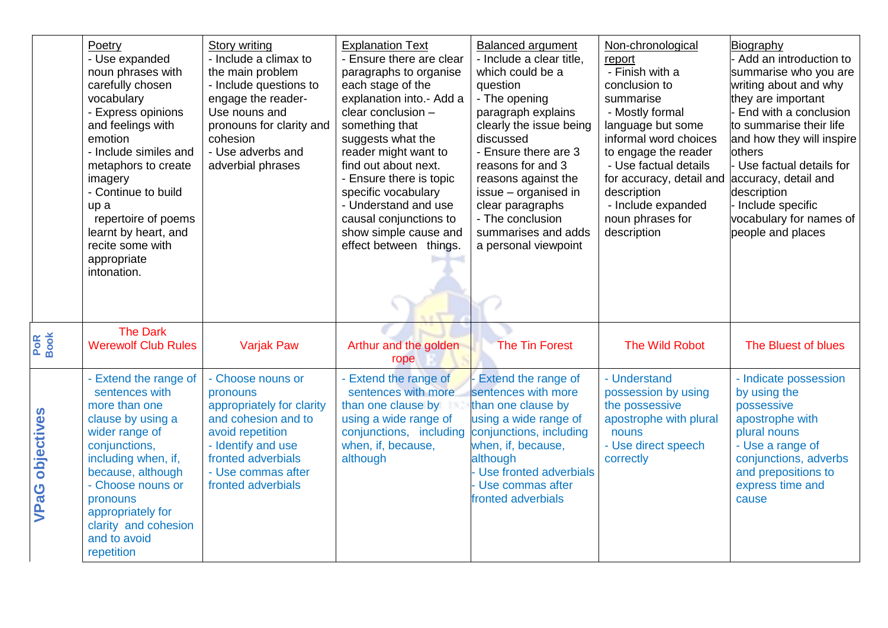|                        | Poetry<br>- Use expanded<br>noun phrases with<br>carefully chosen<br>vocabulary<br>- Express opinions<br>and feelings with<br>emotion<br>- Include similes and<br>metaphors to create<br>imagery<br>- Continue to build<br>up a<br>repertoire of poems<br>learnt by heart, and<br>recite some with<br>appropriate<br>intonation. | <b>Story writing</b><br>- Include a climax to<br>the main problem<br>- Include questions to<br>engage the reader-<br>Use nouns and<br>pronouns for clarity and<br>cohesion<br>- Use adverbs and<br>adverbial phrases | <b>Explanation Text</b><br>- Ensure there are clear<br>paragraphs to organise<br>each stage of the<br>explanation into.- Add a<br>clear conclusion -<br>something that<br>suggests what the<br>reader might want to<br>find out about next.<br>- Ensure there is topic<br>specific vocabulary<br>- Understand and use<br>causal conjunctions to<br>show simple cause and<br>effect between things. | <b>Balanced argument</b><br>- Include a clear title,<br>which could be a<br>question<br>- The opening<br>paragraph explains<br>clearly the issue being<br>discussed<br>- Ensure there are 3<br>reasons for and 3<br>reasons against the<br>issue - organised in<br>clear paragraphs<br>- The conclusion<br>summarises and adds<br>a personal viewpoint | Non-chronological<br>report<br>- Finish with a<br>conclusion to<br>summarise<br>- Mostly formal<br>language but some<br>informal word choices<br>to engage the reader<br>- Use factual details<br>for accuracy, detail and<br>description<br>- Include expanded<br>noun phrases for<br>description | Biography<br>Add an introduction to<br>summarise who you are<br>writing about and why<br>they are important<br>End with a conclusion<br>to summarise their life<br>and how they will inspire<br>others<br>Use factual details for<br>accuracy, detail and<br>description<br>- Include specific<br>vocabulary for names of<br>people and places |
|------------------------|----------------------------------------------------------------------------------------------------------------------------------------------------------------------------------------------------------------------------------------------------------------------------------------------------------------------------------|----------------------------------------------------------------------------------------------------------------------------------------------------------------------------------------------------------------------|----------------------------------------------------------------------------------------------------------------------------------------------------------------------------------------------------------------------------------------------------------------------------------------------------------------------------------------------------------------------------------------------------|--------------------------------------------------------------------------------------------------------------------------------------------------------------------------------------------------------------------------------------------------------------------------------------------------------------------------------------------------------|----------------------------------------------------------------------------------------------------------------------------------------------------------------------------------------------------------------------------------------------------------------------------------------------------|------------------------------------------------------------------------------------------------------------------------------------------------------------------------------------------------------------------------------------------------------------------------------------------------------------------------------------------------|
| PoR<br>Book            | <b>The Dark</b><br><b>Werewolf Club Rules</b>                                                                                                                                                                                                                                                                                    | <b>Varjak Paw</b>                                                                                                                                                                                                    | Arthur and the golden<br>rope                                                                                                                                                                                                                                                                                                                                                                      | The Tin Forest                                                                                                                                                                                                                                                                                                                                         | The Wild Robot                                                                                                                                                                                                                                                                                     | The Bluest of blues                                                                                                                                                                                                                                                                                                                            |
| <b>VPaG objectives</b> | - Extend the range of<br>sentences with<br>more than one<br>clause by using a<br>wider range of<br>conjunctions,<br>including when, if,<br>because, although<br>- Choose nouns or<br>pronouns<br>appropriately for<br>clarity and cohesion<br>and to avoid<br>repetition                                                         | - Choose nouns or<br>pronouns<br>appropriately for clarity<br>and cohesion and to<br>avoid repetition<br>- Identify and use<br>fronted adverbials<br>- Use commas after<br>fronted adverbials                        | Extend the range of<br>sentences with more<br>than one clause by<br>using a wide range of<br>conjunctions, including<br>when, if, because,<br>although                                                                                                                                                                                                                                             | <b>Extend the range of</b><br>sentences with more<br>than one clause by<br>using a wide range of<br>conjunctions, including<br>when, if, because,<br>although<br>Use fronted adverbials<br>Use commas after<br>fronted adverbials                                                                                                                      | - Understand<br>possession by using<br>the possessive<br>apostrophe with plural<br>nouns<br>- Use direct speech<br>correctly                                                                                                                                                                       | - Indicate possession<br>by using the<br>possessive<br>apostrophe with<br>plural nouns<br>- Use a range of<br>conjunctions, adverbs<br>and prepositions to<br>express time and<br>cause                                                                                                                                                        |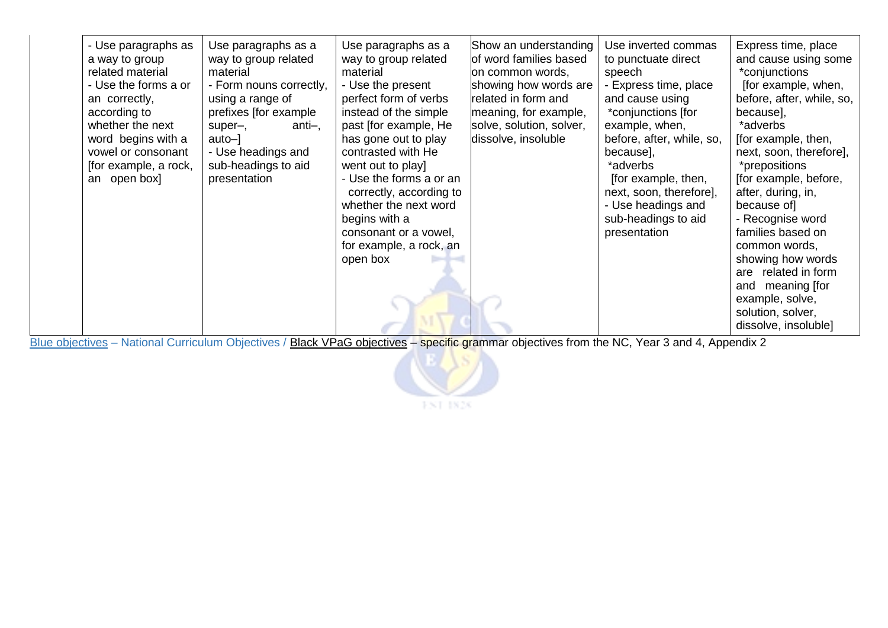| - Use paragraphs as<br>a way to group<br>related material<br>- Use the forms a or<br>an correctly,<br>according to<br>whether the next<br>word begins with a<br>vowel or consonant<br>[for example, a rock,<br>open box]<br>an | Use paragraphs as a<br>way to group related<br>material<br>- Form nouns correctly,<br>using a range of<br>prefixes [for example<br>anti-,<br>super-,<br>$auto-1$<br>- Use headings and<br>sub-headings to aid<br>presentation | Use paragraphs as a<br>way to group related<br>material<br>- Use the present<br>perfect form of verbs<br>instead of the simple<br>past [for example, He<br>has gone out to play<br>contrasted with He<br>went out to play]<br>- Use the forms a or an<br>correctly, according to<br>whether the next word<br>begins with a<br>consonant or a vowel,<br>for example, a rock, an<br>open box | Show an understanding<br>of word families based<br>on common words,<br>showing how words are<br>related in form and<br>meaning, for example,<br>solve, solution, solver,<br>dissolve, insoluble | Use inverted commas<br>to punctuate direct<br>speech<br>- Express time, place<br>and cause using<br>*conjunctions [for<br>example, when,<br>before, after, while, so,<br>because],<br>*adverbs<br>[for example, then,<br>next, soon, therefore],<br>- Use headings and<br>sub-headings to aid<br>presentation | Express time, place<br>and cause using some<br>*conjunctions<br>[for example, when,<br>before, after, while, so,<br>because],<br>*adverbs<br>[for example, then,<br>next, soon, therefore],<br>*prepositions<br>[for example, before,<br>after, during, in,<br>because of]<br>- Recognise word<br>families based on<br>common words,<br>showing how words<br>are related in form<br>and meaning [for<br>example, solve,<br>solution, solver,<br>dissolve, insoluble] |
|--------------------------------------------------------------------------------------------------------------------------------------------------------------------------------------------------------------------------------|-------------------------------------------------------------------------------------------------------------------------------------------------------------------------------------------------------------------------------|--------------------------------------------------------------------------------------------------------------------------------------------------------------------------------------------------------------------------------------------------------------------------------------------------------------------------------------------------------------------------------------------|-------------------------------------------------------------------------------------------------------------------------------------------------------------------------------------------------|---------------------------------------------------------------------------------------------------------------------------------------------------------------------------------------------------------------------------------------------------------------------------------------------------------------|----------------------------------------------------------------------------------------------------------------------------------------------------------------------------------------------------------------------------------------------------------------------------------------------------------------------------------------------------------------------------------------------------------------------------------------------------------------------|
|--------------------------------------------------------------------------------------------------------------------------------------------------------------------------------------------------------------------------------|-------------------------------------------------------------------------------------------------------------------------------------------------------------------------------------------------------------------------------|--------------------------------------------------------------------------------------------------------------------------------------------------------------------------------------------------------------------------------------------------------------------------------------------------------------------------------------------------------------------------------------------|-------------------------------------------------------------------------------------------------------------------------------------------------------------------------------------------------|---------------------------------------------------------------------------------------------------------------------------------------------------------------------------------------------------------------------------------------------------------------------------------------------------------------|----------------------------------------------------------------------------------------------------------------------------------------------------------------------------------------------------------------------------------------------------------------------------------------------------------------------------------------------------------------------------------------------------------------------------------------------------------------------|

Blue objectives – National Curriculum Objectives / Black VPaG objectives – specific grammar objectives from the NC, Year 3 and 4, Appendix 2

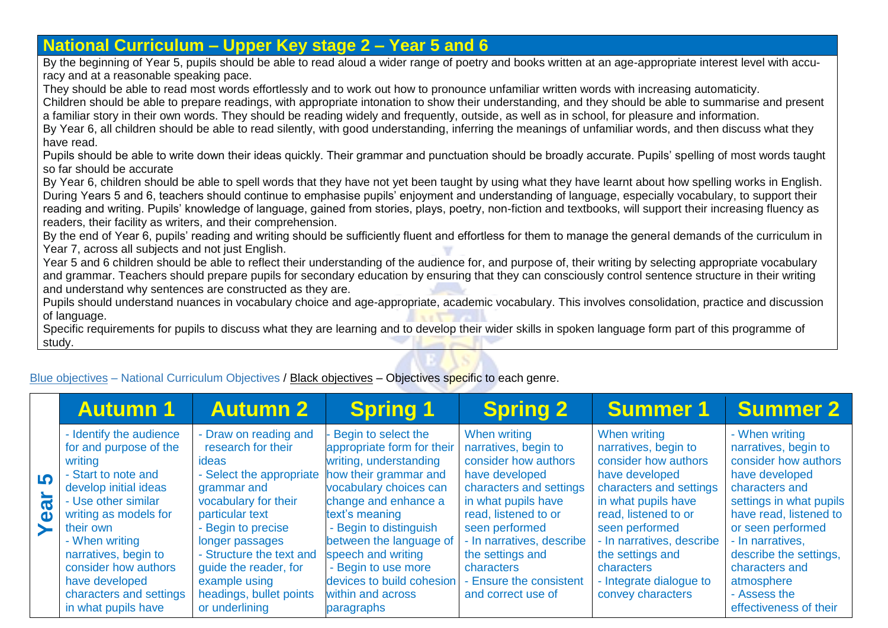# **National Curriculum – Upper Key stage 2 – Year 5 and 6**

By the beginning of Year 5, pupils should be able to read aloud a wider range of poetry and books written at an age-appropriate interest level with accuracy and at a reasonable speaking pace. They should be able to read most words effortlessly and to work out how to pronounce unfamiliar written words with increasing automaticity. Children should be able to prepare readings, with appropriate intonation to show their understanding, and they should be able to summarise and present a familiar story in their own words. They should be reading widely and frequently, outside, as well as in school, for pleasure and information. By Year 6, all children should be able to read silently, with good understanding, inferring the meanings of unfamiliar words, and then discuss what they have read. Pupils should be able to write down their ideas quickly. Their grammar and punctuation should be broadly accurate. Pupils' spelling of most words taught so far should be accurate By Year 6, children should be able to spell words that they have not yet been taught by using what they have learnt about how spelling works in English. During Years 5 and 6, teachers should continue to emphasise pupils' enjoyment and understanding of language, especially vocabulary, to support their reading and writing. Pupils' knowledge of language, gained from stories, plays, poetry, non-fiction and textbooks, will support their increasing fluency as readers, their facility as writers, and their comprehension. By the end of Year 6, pupils' reading and writing should be sufficiently fluent and effortless for them to manage the general demands of the curriculum in Year 7, across all subjects and not just English. Year 5 and 6 children should be able to reflect their understanding of the audience for, and purpose of, their writing by selecting appropriate vocabulary and grammar. Teachers should prepare pupils for secondary education by ensuring that they can consciously control sentence structure in their writing and understand why sentences are constructed as they are. Pupils should understand nuances in vocabulary choice and age-appropriate, academic vocabulary. This involves consolidation, practice and discussion of language. Specific requirements for pupils to discuss what they are learning and to develop their wider skills in spoken language form part of this programme of study.

Blue objectives – National Curriculum Objectives / Black objectives – Objectives specific to each genre.

|                  | <b>Autumn 1</b>                                                                                                                                                                                                                                                                                                 | <b>Autumn 2</b>                                                                                                                                                                                                                                                                                        | <b>Spring 1</b>                                                                                                                                                                                                                                                                                                                            | <b>Spring 2</b>                                                                                                                                                                                                                                                                            | <b>Summer 1</b>                                                                                                                                                                                                                                                                           | <b>Summer 2</b>                                                                                                                                                                                                                                                                                      |
|------------------|-----------------------------------------------------------------------------------------------------------------------------------------------------------------------------------------------------------------------------------------------------------------------------------------------------------------|--------------------------------------------------------------------------------------------------------------------------------------------------------------------------------------------------------------------------------------------------------------------------------------------------------|--------------------------------------------------------------------------------------------------------------------------------------------------------------------------------------------------------------------------------------------------------------------------------------------------------------------------------------------|--------------------------------------------------------------------------------------------------------------------------------------------------------------------------------------------------------------------------------------------------------------------------------------------|-------------------------------------------------------------------------------------------------------------------------------------------------------------------------------------------------------------------------------------------------------------------------------------------|------------------------------------------------------------------------------------------------------------------------------------------------------------------------------------------------------------------------------------------------------------------------------------------------------|
| <b>10</b><br>ear | - Identify the audience<br>for and purpose of the<br>writing<br>- Start to note and<br>develop initial ideas<br>- Use other similar<br>writing as models for<br>their own<br>- When writing<br>narratives, begin to<br>consider how authors<br>have developed<br>characters and settings<br>in what pupils have | - Draw on reading and<br>research for their<br>ideas<br>- Select the appropriate<br>grammar and<br>vocabulary for their<br>particular text<br>- Begin to precise<br>longer passages<br>- Structure the text and<br>guide the reader, for<br>example using<br>headings, bullet points<br>or underlining | Begin to select the<br>appropriate form for their<br>writing, understanding<br>how their grammar and<br>vocabulary choices can<br>change and enhance a<br>text's meaning<br>- Begin to distinguish<br>between the language of<br>speech and writing<br>- Begin to use more<br>devices to build cohesion<br>within and across<br>paragraphs | When writing<br>narratives, begin to<br>consider how authors<br>have developed<br>characters and settings<br>in what pupils have<br>read, listened to or<br>seen performed<br>- In narratives, describe<br>the settings and<br>characters<br>- Ensure the consistent<br>and correct use of | When writing<br>narratives, begin to<br>consider how authors<br>have developed<br>characters and settings<br>in what pupils have<br>read, listened to or<br>seen performed<br>- In narratives, describe<br>the settings and<br>characters<br>- Integrate dialogue to<br>convey characters | - When writing<br>narratives, begin to<br>consider how authors<br>have developed<br>characters and<br>settings in what pupils<br>have read, listened to<br>or seen performed<br>- In narratives.<br>describe the settings,<br>characters and<br>atmosphere<br>- Assess the<br>effectiveness of their |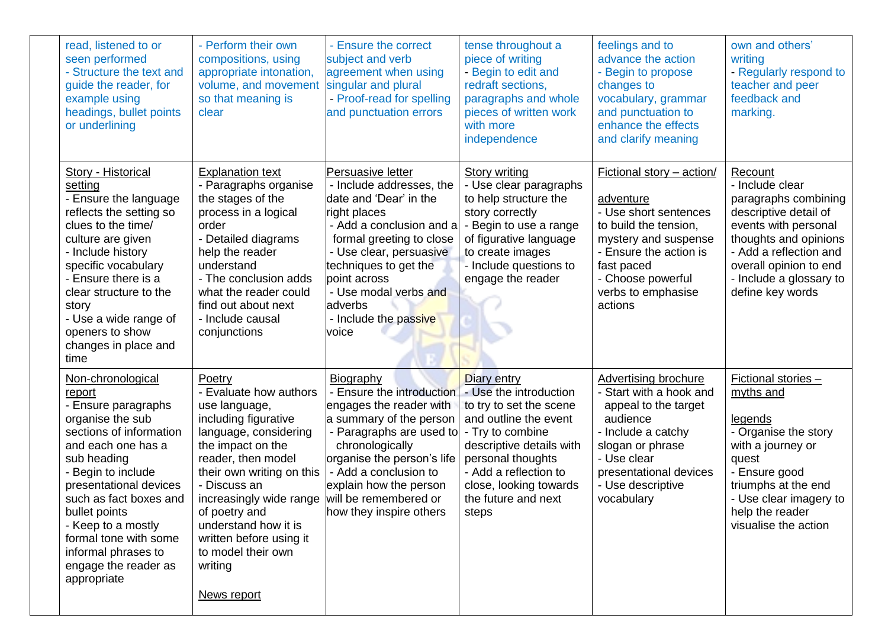| read, listened to or<br>seen performed<br>- Structure the text and<br>guide the reader, for<br>example using<br>headings, bullet points<br>or underlining                                                                                                                                                                                      | - Perform their own<br>compositions, using<br>appropriate intonation,<br>volume, and movement<br>so that meaning is<br>clear                                                                                                                                                                                                                                    | - Ensure the correct<br>subject and verb<br>agreement when using<br>singular and plural<br>- Proof-read for spelling<br>and punctuation errors                                                                                                                                            | tense throughout a<br>piece of writing<br>- Begin to edit and<br>redraft sections,<br>paragraphs and whole<br>pieces of written work<br>with more<br>independence                                                                                        | feelings and to<br>advance the action<br>- Begin to propose<br>changes to<br>vocabulary, grammar<br>and punctuation to<br>enhance the effects<br>and clarify meaning                                             | own and others'<br>writing<br>- Regularly respond to<br>teacher and peer<br>feedback and<br>marking.                                                                                                                            |
|------------------------------------------------------------------------------------------------------------------------------------------------------------------------------------------------------------------------------------------------------------------------------------------------------------------------------------------------|-----------------------------------------------------------------------------------------------------------------------------------------------------------------------------------------------------------------------------------------------------------------------------------------------------------------------------------------------------------------|-------------------------------------------------------------------------------------------------------------------------------------------------------------------------------------------------------------------------------------------------------------------------------------------|----------------------------------------------------------------------------------------------------------------------------------------------------------------------------------------------------------------------------------------------------------|------------------------------------------------------------------------------------------------------------------------------------------------------------------------------------------------------------------|---------------------------------------------------------------------------------------------------------------------------------------------------------------------------------------------------------------------------------|
| Story - Historical<br>setting<br>- Ensure the language<br>reflects the setting so<br>clues to the time/<br>culture are given<br>- Include history<br>specific vocabulary<br>- Ensure there is a<br>clear structure to the<br>story<br>- Use a wide range of<br>openers to show<br>changes in place and<br>time                                 | <b>Explanation text</b><br>- Paragraphs organise<br>the stages of the<br>process in a logical<br>order<br>- Detailed diagrams<br>help the reader<br>understand<br>- The conclusion adds<br>what the reader could<br>find out about next<br>- Include causal<br>conjunctions                                                                                     | Persuasive letter<br>- Include addresses, the<br>date and 'Dear' in the<br>right places<br>- Add a conclusion and a<br>formal greeting to close<br>- Use clear, persuasive<br>techniques to get the<br>point across<br>- Use modal verbs and<br>adverbs<br>- Include the passive<br>voice | <b>Story writing</b><br>- Use clear paragraphs<br>to help structure the<br>story correctly<br>- Begin to use a range<br>of figurative language<br>to create images<br>- Include questions to<br>engage the reader                                        | Fictional story - action/<br>adventure<br>- Use short sentences<br>to build the tension,<br>mystery and suspense<br>- Ensure the action is<br>fast paced<br>- Choose powerful<br>verbs to emphasise<br>actions   | Recount<br>- Include clear<br>paragraphs combining<br>descriptive detail of<br>events with personal<br>thoughts and opinions<br>- Add a reflection and<br>overall opinion to end<br>- Include a glossary to<br>define key words |
| Non-chronological<br>report<br>- Ensure paragraphs<br>organise the sub<br>sections of information<br>and each one has a<br>sub heading<br>- Begin to include<br>presentational devices<br>such as fact boxes and<br>bullet points<br>- Keep to a mostly<br>formal tone with some<br>informal phrases to<br>engage the reader as<br>appropriate | Poetry<br>- Evaluate how authors<br>use language,<br>including figurative<br>language, considering<br>the impact on the<br>reader, then model<br>their own writing on this<br>- Discuss an<br>increasingly wide range will be remembered or<br>of poetry and<br>understand how it is<br>written before using it<br>to model their own<br>writing<br>News report | Biography<br>Ensure the introduction<br>engages the reader with<br>a summary of the person<br>- Paragraphs are used to<br>chronologically<br>organise the person's life<br>Add a conclusion to<br>explain how the person<br>how they inspire others                                       | <b>Diary entry</b><br>- Use the introduction<br>to try to set the scene<br>and outline the event<br>- Try to combine<br>descriptive details with<br>personal thoughts<br>- Add a reflection to<br>close, looking towards<br>the future and next<br>steps | <b>Advertising brochure</b><br>- Start with a hook and<br>appeal to the target<br>audience<br>- Include a catchy<br>slogan or phrase<br>- Use clear<br>presentational devices<br>- Use descriptive<br>vocabulary | Fictional stories -<br>myths and<br>legends<br>- Organise the story<br>with a journey or<br>quest<br>- Ensure good<br>triumphs at the end<br>- Use clear imagery to<br>help the reader<br>visualise the action                  |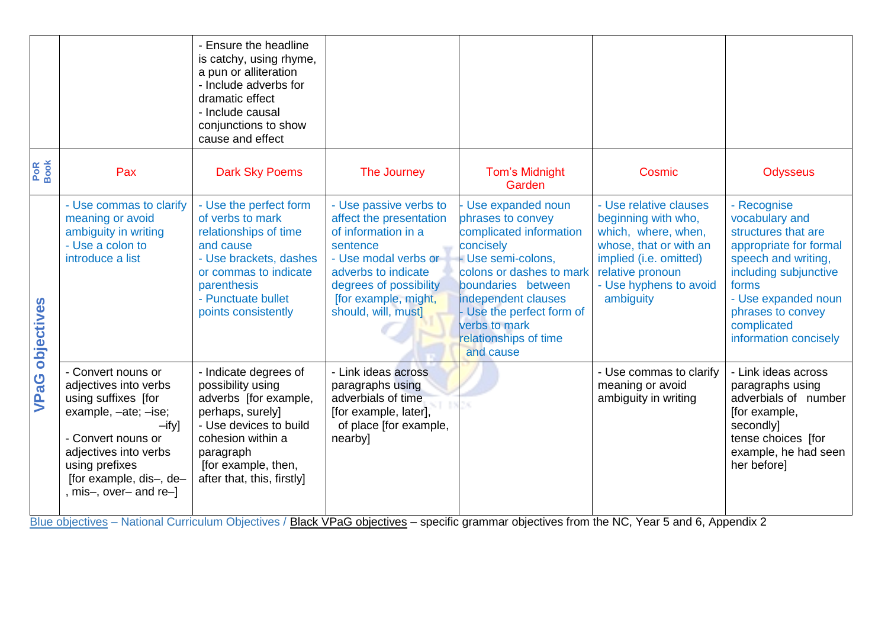|                        |                                                                                                                                                                                                                              | - Ensure the headline<br>is catchy, using rhyme,<br>a pun or alliteration<br>- Include adverbs for<br>dramatic effect<br>- Include causal<br>conjunctions to show<br>cause and effect                    |                                                                                                                                                                                                              |                                                                                                                                                                                                                                                                   |                                                                                                                                                                                     |                                                                                                                                                                                                                             |
|------------------------|------------------------------------------------------------------------------------------------------------------------------------------------------------------------------------------------------------------------------|----------------------------------------------------------------------------------------------------------------------------------------------------------------------------------------------------------|--------------------------------------------------------------------------------------------------------------------------------------------------------------------------------------------------------------|-------------------------------------------------------------------------------------------------------------------------------------------------------------------------------------------------------------------------------------------------------------------|-------------------------------------------------------------------------------------------------------------------------------------------------------------------------------------|-----------------------------------------------------------------------------------------------------------------------------------------------------------------------------------------------------------------------------|
| PoR<br>Book            | Pax                                                                                                                                                                                                                          | <b>Dark Sky Poems</b>                                                                                                                                                                                    | The Journey                                                                                                                                                                                                  | Tom's Midnight<br>Garden                                                                                                                                                                                                                                          | Cosmic                                                                                                                                                                              | <b>Odysseus</b>                                                                                                                                                                                                             |
| <b>VPaG objectives</b> | - Use commas to clarify<br>meaning or avoid<br>ambiguity in writing<br>- Use a colon to<br>introduce a list                                                                                                                  | - Use the perfect form<br>of verbs to mark<br>relationships of time<br>and cause<br>- Use brackets, dashes<br>or commas to indicate<br>parenthesis<br>- Punctuate bullet<br>points consistently          | - Use passive verbs to<br>affect the presentation<br>of information in a<br>sentence<br>- Use modal verbs or<br>adverbs to indicate<br>degrees of possibility<br>[for example, might,<br>should, will, must] | Use expanded noun<br>phrases to convey<br>complicated information<br>concisely<br>- Use semi-colons,<br>colons or dashes to mark<br>boundaries between<br>independent clauses<br>- Use the perfect form of<br>verbs to mark<br>relationships of time<br>and cause | - Use relative clauses<br>beginning with who,<br>which, where, when,<br>whose, that or with an<br>implied (i.e. omitted)<br>relative pronoun<br>- Use hyphens to avoid<br>ambiguity | - Recognise<br>vocabulary and<br>structures that are<br>appropriate for formal<br>speech and writing,<br>including subjunctive<br>forms<br>- Use expanded noun<br>phrases to convey<br>complicated<br>information concisely |
|                        | - Convert nouns or<br>adjectives into verbs<br>using suffixes [for<br>example, -ate; -ise;<br>$-$ ify]<br>- Convert nouns or<br>adjectives into verbs<br>using prefixes<br>[for example, dis-, de-<br>, mis-, over- and re-] | - Indicate degrees of<br>possibility using<br>adverbs [for example,<br>perhaps, surely]<br>- Use devices to build<br>cohesion within a<br>paragraph<br>[for example, then,<br>after that, this, firstly] | - Link ideas across<br>paragraphs using<br>adverbials of time<br>[for example, later],<br>of place [for example,<br>nearby]                                                                                  |                                                                                                                                                                                                                                                                   | - Use commas to clarify<br>meaning or avoid<br>ambiguity in writing                                                                                                                 | - Link ideas across<br>paragraphs using<br>adverbials of number<br>[for example,<br>secondly]<br>tense choices [for<br>example, he had seen<br>her before]                                                                  |

Blue objectives – National Curriculum Objectives / Black VPaG objectives – specific grammar objectives from the NC, Year 5 and 6, Appendix 2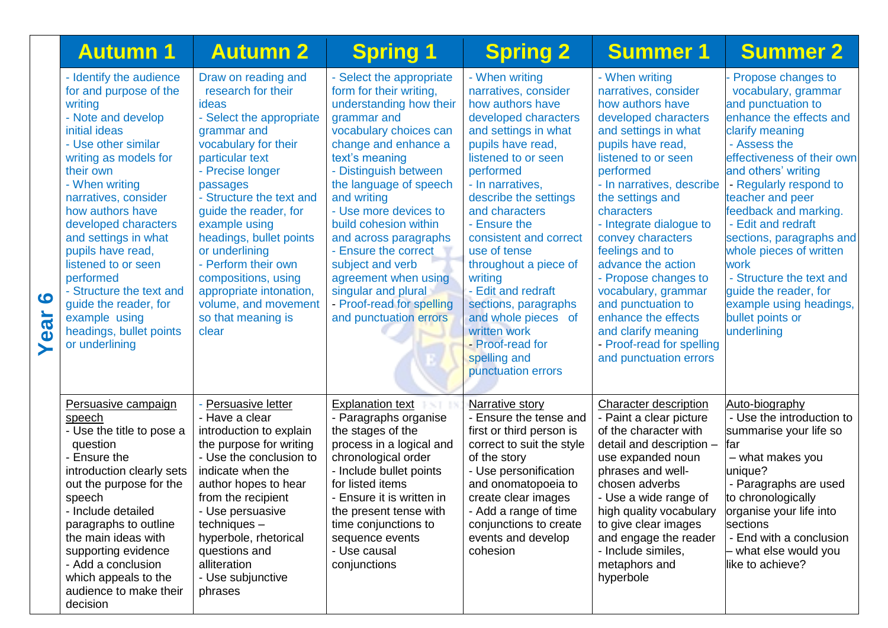|                                                                       | <b>Autumn 1</b>                                                                                                                                                                                                                                                                                                                                                                                                                                            | <b>Autumn 2</b>                                                                                                                                                                                                                                                                                                                                                                                                             | <b>Spring 1</b>                                                                                                                                                                                                                                                                                                                                                                                                                                                  | <b>Spring 2</b>                                                                                                                                                                                                                                                                                                                                                                                                                                                                 | <b>Summer 1</b>                                                                                                                                                                                                                                                                                                                                                                                                                                                                                       | <b>Summer 2</b>                                                                                                                                                                                                                                                                                                                                                                                                                                                   |
|-----------------------------------------------------------------------|------------------------------------------------------------------------------------------------------------------------------------------------------------------------------------------------------------------------------------------------------------------------------------------------------------------------------------------------------------------------------------------------------------------------------------------------------------|-----------------------------------------------------------------------------------------------------------------------------------------------------------------------------------------------------------------------------------------------------------------------------------------------------------------------------------------------------------------------------------------------------------------------------|------------------------------------------------------------------------------------------------------------------------------------------------------------------------------------------------------------------------------------------------------------------------------------------------------------------------------------------------------------------------------------------------------------------------------------------------------------------|---------------------------------------------------------------------------------------------------------------------------------------------------------------------------------------------------------------------------------------------------------------------------------------------------------------------------------------------------------------------------------------------------------------------------------------------------------------------------------|-------------------------------------------------------------------------------------------------------------------------------------------------------------------------------------------------------------------------------------------------------------------------------------------------------------------------------------------------------------------------------------------------------------------------------------------------------------------------------------------------------|-------------------------------------------------------------------------------------------------------------------------------------------------------------------------------------------------------------------------------------------------------------------------------------------------------------------------------------------------------------------------------------------------------------------------------------------------------------------|
| $\bullet$<br>$\overline{\mathbf{a}}$<br>$\ddot{\mathbf{0}}$<br>$\geq$ | - Identify the audience<br>for and purpose of the<br>writing<br>- Note and develop<br>initial ideas<br>- Use other similar<br>writing as models for<br>their own<br>- When writing<br>narratives, consider<br>how authors have<br>developed characters<br>and settings in what<br>pupils have read,<br>listened to or seen<br>performed<br>- Structure the text and<br>guide the reader, for<br>example using<br>headings, bullet points<br>or underlining | Draw on reading and<br>research for their<br>ideas<br>- Select the appropriate<br>grammar and<br>vocabulary for their<br>particular text<br>- Precise longer<br>passages<br>- Structure the text and<br>guide the reader, for<br>example using<br>headings, bullet points<br>or underlining<br>- Perform their own<br>compositions, using<br>appropriate intonation,<br>volume, and movement<br>so that meaning is<br>clear | - Select the appropriate<br>form for their writing,<br>understanding how their<br>grammar and<br>vocabulary choices can<br>change and enhance a<br>text's meaning<br>- Distinguish between<br>the language of speech<br>and writing<br>- Use more devices to<br>build cohesion within<br>and across paragraphs<br>- Ensure the correct<br>subject and verb<br>agreement when using<br>singular and plural<br>- Proof-read for spelling<br>and punctuation errors | - When writing<br>narratives, consider<br>how authors have<br>developed characters<br>and settings in what<br>pupils have read,<br>listened to or seen<br>performed<br>- In narratives,<br>describe the settings<br>and characters<br>- Ensure the<br>consistent and correct<br>use of tense<br>throughout a piece of<br>writing<br>- Edit and redraft<br>sections, paragraphs<br>and whole pieces of<br>written work<br>- Proof-read for<br>spelling and<br>punctuation errors | - When writing<br>narratives, consider<br>how authors have<br>developed characters<br>and settings in what<br>pupils have read,<br>listened to or seen<br>performed<br>- In narratives, describe<br>the settings and<br>characters<br>- Integrate dialogue to<br>convey characters<br>feelings and to<br>advance the action<br>- Propose changes to<br>vocabulary, grammar<br>and punctuation to<br>enhance the effects<br>and clarify meaning<br>- Proof-read for spelling<br>and punctuation errors | Propose changes to<br>vocabulary, grammar<br>and punctuation to<br>enhance the effects and<br>clarify meaning<br>- Assess the<br>effectiveness of their own<br>and others' writing<br>- Regularly respond to<br>teacher and peer<br>feedback and marking.<br>- Edit and redraft<br>sections, paragraphs and<br>whole pieces of written<br>work<br>- Structure the text and<br>guide the reader, for<br>example using headings,<br>bullet points or<br>underlining |
|                                                                       | Persuasive campaign<br>speech<br>- Use the title to pose a<br>question<br>- Ensure the<br>introduction clearly sets<br>out the purpose for the<br>speech<br>- Include detailed<br>paragraphs to outline<br>the main ideas with<br>supporting evidence<br>- Add a conclusion<br>which appeals to the<br>audience to make their<br>decision                                                                                                                  | Persuasive letter<br>- Have a clear<br>introduction to explain<br>the purpose for writing<br>- Use the conclusion to<br>indicate when the<br>author hopes to hear<br>from the recipient<br>- Use persuasive<br>techniques -<br>hyperbole, rhetorical<br>questions and<br>alliteration<br>- Use subjunctive<br>phrases                                                                                                       | <b>Explanation text</b><br>- Paragraphs organise<br>the stages of the<br>process in a logical and<br>chronological order<br>- Include bullet points<br>for listed items<br>- Ensure it is written in<br>the present tense with<br>time conjunctions to<br>sequence events<br>- Use causal<br>conjunctions                                                                                                                                                        | Narrative story<br>- Ensure the tense and<br>first or third person is<br>correct to suit the style<br>of the story<br>- Use personification<br>and onomatopoeia to<br>create clear images<br>- Add a range of time<br>conjunctions to create<br>events and develop<br>cohesion                                                                                                                                                                                                  | Character description<br>- Paint a clear picture<br>of the character with<br>detail and description -<br>use expanded noun<br>phrases and well-<br>chosen adverbs<br>- Use a wide range of<br>high quality vocabulary<br>to give clear images<br>and engage the reader<br>- Include similes,<br>metaphors and<br>hyperbole                                                                                                                                                                            | Auto-biography<br>- Use the introduction to<br>summarise your life so<br>lfar<br>- what makes you<br>unique?<br>- Paragraphs are used<br>to chronologically<br>organise your life into<br>sections<br>- End with a conclusion<br>- what else would you<br>like to achieve?                                                                                                                                                                                        |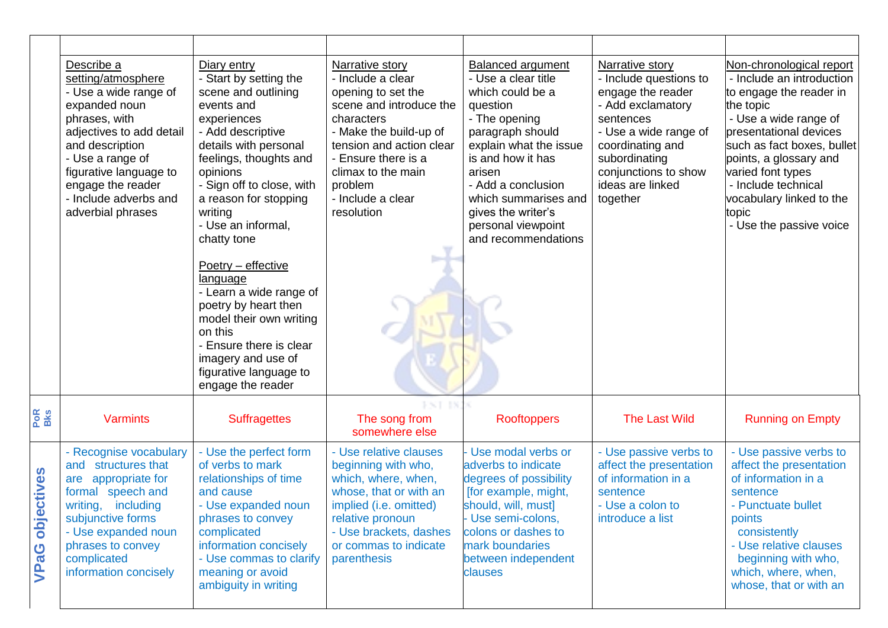|                                                                                  | Describe a<br>setting/atmosphere<br>- Use a wide range of<br>expanded noun<br>phrases, with<br>adjectives to add detail<br>and description<br>- Use a range of<br>figurative language to<br>engage the reader<br>- Include adverbs and<br>adverbial phrases | Diary entry<br>- Start by setting the<br>scene and outlining<br>events and<br>experiences<br>- Add descriptive<br>details with personal<br>feelings, thoughts and<br>opinions<br>- Sign off to close, with<br>a reason for stopping<br>writing<br>- Use an informal,<br>chatty tone<br>Poetry – effective | Narrative story<br>- Include a clear<br>opening to set the<br>scene and introduce the<br>characters<br>- Make the build-up of<br>tension and action clear<br>- Ensure there is a<br>climax to the main<br>problem<br>- Include a clear<br>resolution | <b>Balanced argument</b><br>- Use a clear title<br>which could be a<br>question<br>- The opening<br>paragraph should<br>explain what the issue<br>is and how it has<br>arisen<br>- Add a conclusion<br>which summarises and<br>gives the writer's<br>personal viewpoint<br>and recommendations | Narrative story<br>- Include questions to<br>engage the reader<br>- Add exclamatory<br>sentences<br>- Use a wide range of<br>coordinating and<br>subordinating<br>conjunctions to show<br>ideas are linked<br>together | Non-chronological report<br>- Include an introduction<br>to engage the reader in<br>the topic<br>- Use a wide range of<br>presentational devices<br>such as fact boxes, bullet<br>points, a glossary and<br>varied font types<br>- Include technical<br>vocabulary linked to the<br>topic<br>- Use the passive voice |
|----------------------------------------------------------------------------------|-------------------------------------------------------------------------------------------------------------------------------------------------------------------------------------------------------------------------------------------------------------|-----------------------------------------------------------------------------------------------------------------------------------------------------------------------------------------------------------------------------------------------------------------------------------------------------------|------------------------------------------------------------------------------------------------------------------------------------------------------------------------------------------------------------------------------------------------------|------------------------------------------------------------------------------------------------------------------------------------------------------------------------------------------------------------------------------------------------------------------------------------------------|------------------------------------------------------------------------------------------------------------------------------------------------------------------------------------------------------------------------|----------------------------------------------------------------------------------------------------------------------------------------------------------------------------------------------------------------------------------------------------------------------------------------------------------------------|
|                                                                                  |                                                                                                                                                                                                                                                             | language<br>- Learn a wide range of<br>poetry by heart then<br>model their own writing<br>on this<br>- Ensure there is clear<br>imagery and use of<br>figurative language to<br>engage the reader                                                                                                         |                                                                                                                                                                                                                                                      |                                                                                                                                                                                                                                                                                                |                                                                                                                                                                                                                        |                                                                                                                                                                                                                                                                                                                      |
| PoR<br>Bks                                                                       | <b>Varmints</b>                                                                                                                                                                                                                                             | <b>Suffragettes</b>                                                                                                                                                                                                                                                                                       | The song from<br>somewhere else                                                                                                                                                                                                                      | <b>Rooftoppers</b>                                                                                                                                                                                                                                                                             | <b>The Last Wild</b>                                                                                                                                                                                                   | <b>Running on Empty</b>                                                                                                                                                                                                                                                                                              |
| ທ<br>tive:<br>object<br>$\boldsymbol{\sigma}$<br>$\boldsymbol{\sigma}$<br>۶<br>> | - Recognise vocabulary<br>structures that<br>and<br>appropriate for<br>are<br>formal speech and<br>writing, including<br>subjunctive forms<br>- Use expanded noun<br>phrases to convey<br>complicated<br>information concisely                              | - Use the perfect form<br>of verbs to mark<br>relationships of time<br>and cause<br>- Use expanded noun<br>phrases to convey<br>complicated<br>information concisely<br>- Use commas to clarify<br>meaning or avoid<br>ambiguity in writing                                                               | - Use relative clauses<br>beginning with who,<br>which, where, when,<br>whose, that or with an<br>implied (i.e. omitted)<br>relative pronoun<br>- Use brackets, dashes<br>or commas to indicate<br>parenthesis                                       | Use modal verbs or<br>adverbs to indicate<br>degrees of possibility<br>[for example, might,<br>should, will, must]<br>- Use semi-colons,<br>colons or dashes to<br>mark boundaries<br>between independent<br>clauses                                                                           | - Use passive verbs to<br>affect the presentation<br>of information in a<br>sentence<br>- Use a colon to<br>introduce a list                                                                                           | - Use passive verbs to<br>affect the presentation<br>of information in a<br>sentence<br>- Punctuate bullet<br>points<br>consistently<br>- Use relative clauses<br>beginning with who,<br>which, where, when,<br>whose, that or with an                                                                               |